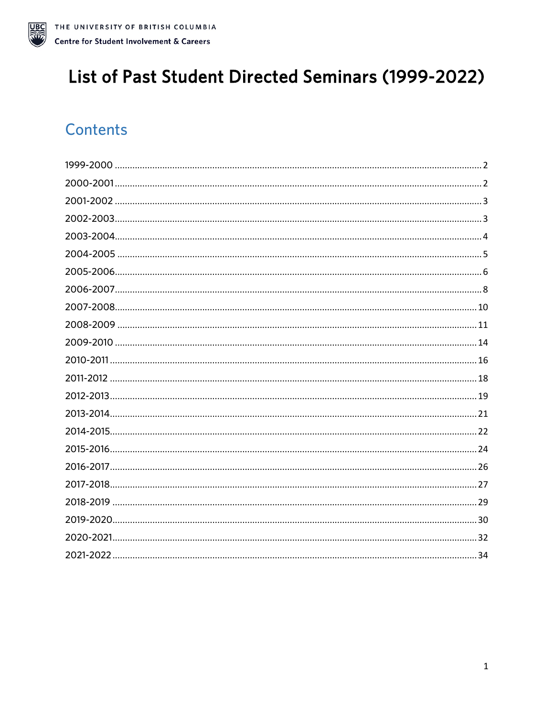

# List of Past Student Directed Seminars (1999-2022)

# **Contents**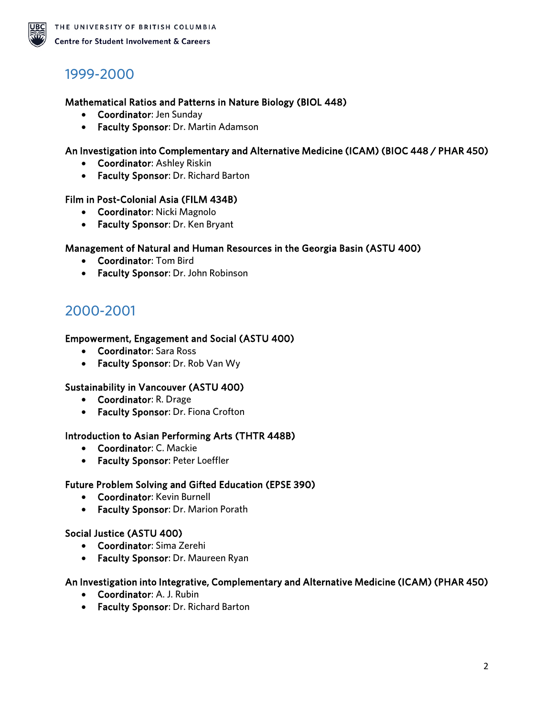

## <span id="page-1-0"></span>1999-2000

#### Mathematical Ratios and Patterns in Nature Biology (BIOL 448)

- Coordinator: Jen Sunday
- Faculty Sponsor: Dr. Martin Adamson

#### An Investigation into Complementary and Alternative Medicine (ICAM) (BIOC 448 / PHAR 450)

- Coordinator: Ashley Riskin
- Faculty Sponsor: Dr. Richard Barton

#### Film in Post-Colonial Asia (FILM 434B)

- Coordinator: Nicki Magnolo
- Faculty Sponsor: Dr. Ken Bryant

#### Management of Natural and Human Resources in the Georgia Basin (ASTU 400)

- Coordinator: Tom Bird
- Faculty Sponsor: Dr. John Robinson

### <span id="page-1-1"></span>2000-2001

#### Empowerment, Engagement and Social (ASTU 400)

- Coordinator: Sara Ross
- Faculty Sponsor: Dr. Rob Van Wy

#### Sustainability in Vancouver (ASTU 400)

- Coordinator: R. Drage
- Faculty Sponsor: Dr. Fiona Crofton

#### Introduction to Asian Performing Arts (THTR 448B)

- Coordinator: C. Mackie
- Faculty Sponsor: Peter Loeffler

#### Future Problem Solving and Gifted Education (EPSE 390)

- Coordinator: Kevin Burnell
- Faculty Sponsor: Dr. Marion Porath

#### Social Justice (ASTU 400)

- Coordinator: Sima Zerehi
- Faculty Sponsor: Dr. Maureen Ryan

#### An Investigation into Integrative, Complementary and Alternative Medicine (ICAM) (PHAR 450)

- Coordinator: A. J. Rubin
- Faculty Sponsor: Dr. Richard Barton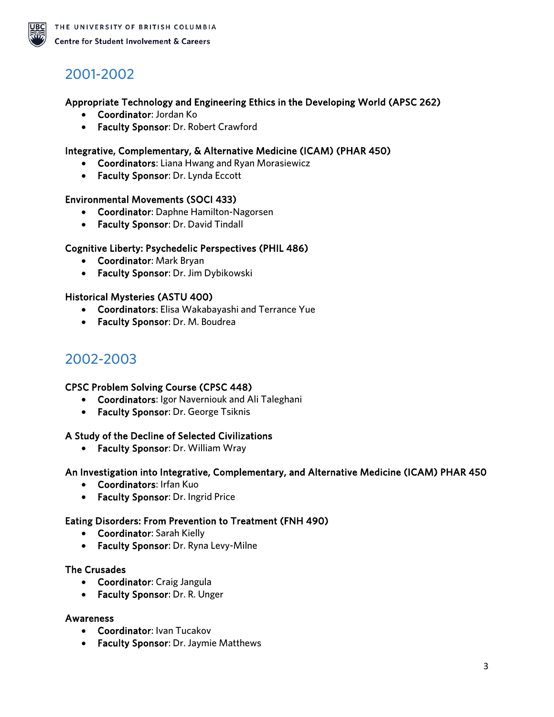

# <span id="page-2-0"></span>2001-2002

#### Appropriate Technology and Engineering Ethics in the Developing World (APSC 262)

- Coordinator: Jordan Ko
- Faculty Sponsor: Dr. Robert Crawford

#### Integrative, Complementary, & Alternative Medicine (ICAM) (PHAR 450)

- Coordinators: Liana Hwang and Ryan Morasiewicz
- Faculty Sponsor: Dr. Lynda Eccott

#### Environmental Movements (SOCI 433)

- Coordinator: Daphne Hamilton-Nagorsen
- Faculty Sponsor: Dr. David Tindall

#### Cognitive Liberty: Psychedelic Perspectives (PHIL 486)

- Coordinator: Mark Bryan
- Faculty Sponsor: Dr. Jim Dybikowski

#### Historical Mysteries (ASTU 400)

- Coordinators: Elisa Wakabayashi and Terrance Yue
- Faculty Sponsor: Dr. M. Boudrea

### <span id="page-2-1"></span>2002-2003

#### CPSC Problem Solving Course (CPSC 448)

- Coordinators: Igor Naverniouk and Ali Taleghani
- Faculty Sponsor: Dr. George Tsiknis

#### A Study of the Decline of Selected Civilizations

• Faculty Sponsor: Dr. William Wray

#### An Investigation into Integrative, Complementary, and Alternative Medicine (ICAM) PHAR 450

- Coordinators: Irfan Kuo
- Faculty Sponsor: Dr. Ingrid Price

#### Eating Disorders: From Prevention to Treatment (FNH 490)

- Coordinator: Sarah Kielly
- Faculty Sponsor: Dr. Ryna Levy-Milne

#### The Crusades

- Coordinator: Craig Jangula
- Faculty Sponsor: Dr. R. Unger

#### Awareness

- Coordinator: Ivan Tucakov
- Faculty Sponsor: Dr. Jaymie Matthews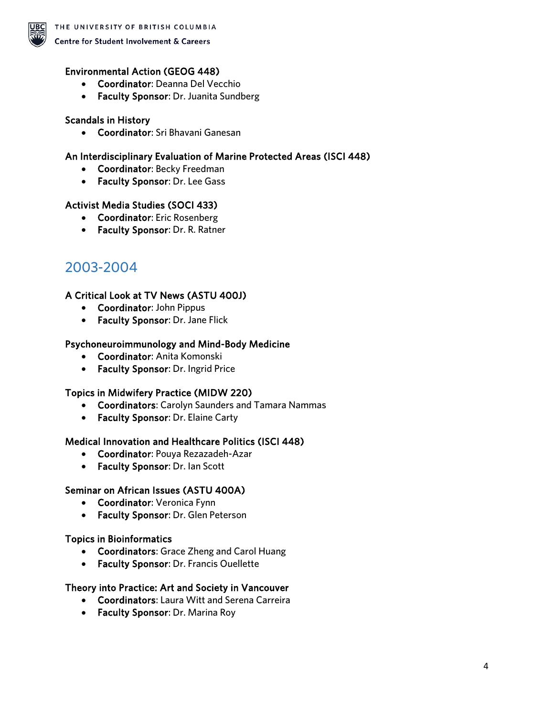

#### Environmental Action (GEOG 448)

- Coordinator: Deanna Del Vecchio
- Faculty Sponsor: Dr. Juanita Sundberg

#### Scandals in History

• Coordinator: Sri Bhavani Ganesan

#### An Interdisciplinary Evaluation of Marine Protected Areas (ISCI 448)

- Coordinator: Becky Freedman
- Faculty Sponsor: Dr. Lee Gass

#### Activist Media Studies (SOCI 433)

- Coordinator: Eric Rosenberg
- Faculty Sponsor: Dr. R. Ratner

### <span id="page-3-0"></span>2003-2004

#### A Critical Look at TV News (ASTU 400J)

- Coordinator: John Pippus
- Faculty Sponsor: Dr. Jane Flick

#### Psychoneuroimmunology and Mind-Body Medicine

- Coordinator: Anita Komonski
- Faculty Sponsor: Dr. Ingrid Price

#### Topics in Midwifery Practice (MIDW 220)

- Coordinators: Carolyn Saunders and Tamara Nammas
- Faculty Sponsor: Dr. Elaine Carty

#### Medical Innovation and Healthcare Politics (ISCI 448)

- Coordinator: Pouya Rezazadeh-Azar
- Faculty Sponsor: Dr. Ian Scott

#### Seminar on African Issues (ASTU 400A)

- Coordinator: Veronica Fynn
- Faculty Sponsor: Dr. Glen Peterson

#### Topics in Bioinformatics

- Coordinators: Grace Zheng and Carol Huang
- Faculty Sponsor: Dr. Francis Ouellette

#### Theory into Practice: Art and Society in Vancouver

- Coordinators: Laura Witt and Serena Carreira
- Faculty Sponsor: Dr. Marina Roy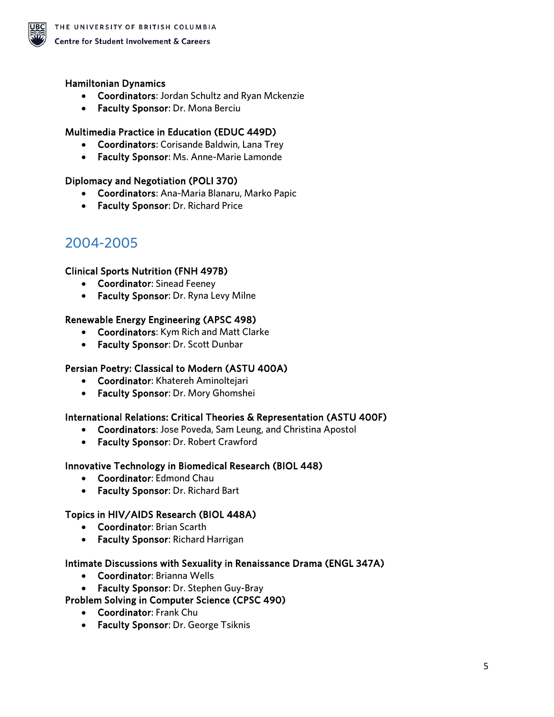

#### Hamiltonian Dynamics

- Coordinators: Jordan Schultz and Ryan Mckenzie
- Faculty Sponsor: Dr. Mona Berciu

#### Multimedia Practice in Education (EDUC 449D)

- Coordinators: Corisande Baldwin, Lana Trey
- Faculty Sponsor: Ms. Anne-Marie Lamonde

#### Diplomacy and Negotiation (POLI 370)

- Coordinators: Ana-Maria Blanaru, Marko Papic
- Faculty Sponsor: Dr. Richard Price

## <span id="page-4-0"></span>2004-2005

#### Clinical Sports Nutrition (FNH 497B)

- Coordinator: Sinead Feeney
- Faculty Sponsor: Dr. Ryna Levy Milne

#### Renewable Energy Engineering (APSC 498)

- Coordinators: Kym Rich and Matt Clarke
- Faculty Sponsor: Dr. Scott Dunbar

#### Persian Poetry: Classical to Modern (ASTU 400A)

- Coordinator: Khatereh Aminoltejari
- Faculty Sponsor: Dr. Mory Ghomshei

#### International Relations: Critical Theories & Representation (ASTU 400F)

- Coordinators: Jose Poveda, Sam Leung, and Christina Apostol
- Faculty Sponsor: Dr. Robert Crawford

#### Innovative Technology in Biomedical Research (BIOL 448)

- Coordinator: Edmond Chau
- Faculty Sponsor: Dr. Richard Bart

#### Topics in HIV/AIDS Research (BIOL 448A)

- Coordinator: Brian Scarth
- Faculty Sponsor: Richard Harrigan

#### Intimate Discussions with Sexuality in Renaissance Drama (ENGL 347A)

- Coordinator: Brianna Wells
- Faculty Sponsor: Dr. Stephen Guy-Bray

#### Problem Solving in Computer Science (CPSC 490)

- Coordinator: Frank Chu
- Faculty Sponsor: Dr. George Tsiknis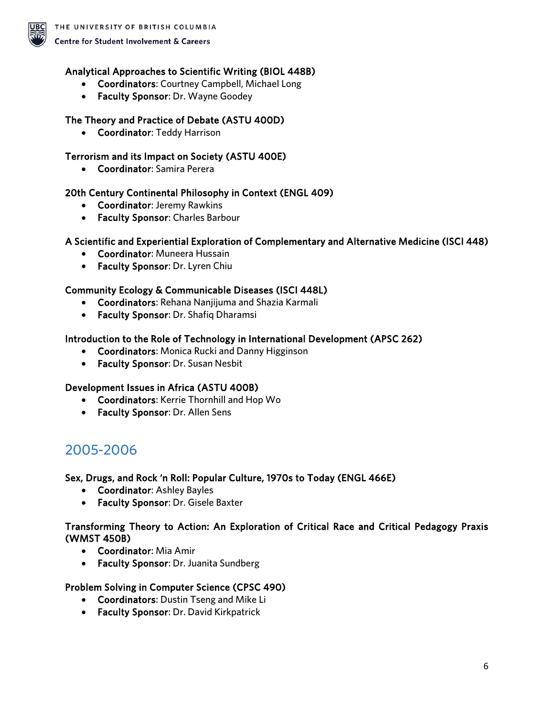

#### Analytical Approaches to Scientific Writing (BIOL 448B)

- Coordinators: Courtney Campbell, Michael Long
- Faculty Sponsor: Dr. Wayne Goodey

#### The Theory and Practice of Debate (ASTU 400D)

• Coordinator: Teddy Harrison

#### Terrorism and its Impact on Society (ASTU 400E)

• Coordinator: Samira Perera

#### 20th Century Continental Philosophy in Context (ENGL 409)

- Coordinator: Jeremy Rawkins
- Faculty Sponsor: Charles Barbour

#### A Scientific and Experiential Exploration of Complementary and Alternative Medicine (ISCI 448)

- Coordinator: Muneera Hussain
- Faculty Sponsor: Dr. Lyren Chiu

#### Community Ecology & Communicable Diseases (ISCI 448L)

- Coordinators: Rehana Nanjijuma and Shazia Karmali
- Faculty Sponsor: Dr. Shafiq Dharamsi

#### Introduction to the Role of Technology in International Development (APSC 262)

- Coordinators: Monica Rucki and Danny Higginson
- Faculty Sponsor: Dr. Susan Nesbit

#### Development Issues in Africa (ASTU 400B)

- Coordinators: Kerrie Thornhill and Hop Wo
- Faculty Sponsor: Dr. Allen Sens

### <span id="page-5-0"></span>2005-2006

#### Sex, Drugs, and Rock 'n Roll: Popular Culture, 1970s to Today (ENGL 466E)

- Coordinator: Ashley Bayles
- Faculty Sponsor: Dr. Gisele Baxter

#### Transforming Theory to Action: An Exploration of Critical Race and Critical Pedagogy Praxis (WMST 450B)

- Coordinator: Mia Amir
- Faculty Sponsor: Dr. Juanita Sundberg

#### Problem Solving in Computer Science (CPSC 490)

- Coordinators: Dustin Tseng and Mike Li
- Faculty Sponsor: Dr. David Kirkpatrick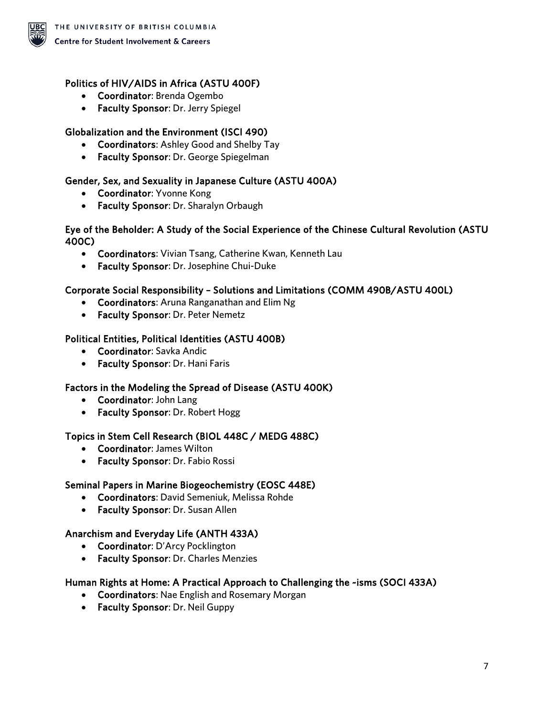

### Politics of HIV/AIDS in Africa (ASTU 400F)

- Coordinator: Brenda Ogembo
- Faculty Sponsor: Dr. Jerry Spiegel

### Globalization and the Environment (ISCI 490)

- Coordinators: Ashley Good and Shelby Tay
- Faculty Sponsor: Dr. George Spiegelman

#### Gender, Sex, and Sexuality in Japanese Culture (ASTU 400A)

- Coordinator: Yvonne Kong
- Faculty Sponsor: Dr. Sharalyn Orbaugh

#### Eye of the Beholder: A Study of the Social Experience of the Chinese Cultural Revolution (ASTU 400C)

- Coordinators: Vivian Tsang, Catherine Kwan, Kenneth Lau
- Faculty Sponsor: Dr. Josephine Chui-Duke

#### Corporate Social Responsibility – Solutions and Limitations (COMM 490B/ASTU 400L)

- Coordinators: Aruna Ranganathan and Elim Ng
- Faculty Sponsor: Dr. Peter Nemetz

#### Political Entities, Political Identities (ASTU 400B)

- Coordinator: Savka Andic
- Faculty Sponsor: Dr. Hani Faris

### Factors in the Modeling the Spread of Disease (ASTU 400K)

- Coordinator: John Lang
- Faculty Sponsor: Dr. Robert Hogg

#### Topics in Stem Cell Research (BIOL 448C / MEDG 488C)

- Coordinator: James Wilton
- Faculty Sponsor: Dr. Fabio Rossi

### Seminal Papers in Marine Biogeochemistry (EOSC 448E)

- Coordinators: David Semeniuk, Melissa Rohde
- Faculty Sponsor: Dr. Susan Allen

### Anarchism and Everyday Life (ANTH 433A)

- Coordinator: D'Arcy Pocklington
- Faculty Sponsor: Dr. Charles Menzies

#### Human Rights at Home: A Practical Approach to Challenging the ~isms (SOCI 433A)

- Coordinators: Nae English and Rosemary Morgan
- Faculty Sponsor: Dr. Neil Guppy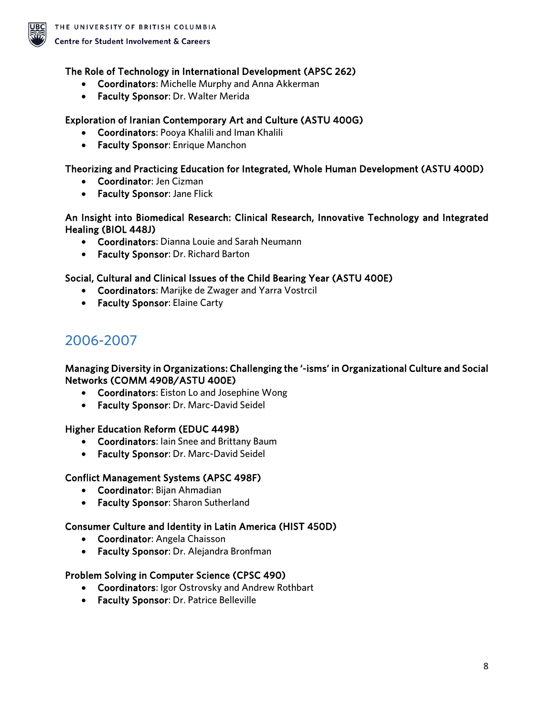

#### The Role of Technology in International Development (APSC 262)

- Coordinators: Michelle Murphy and Anna Akkerman
- Faculty Sponsor: Dr. Walter Merida

#### Exploration of Iranian Contemporary Art and Culture (ASTU 400G)

- Coordinators: Pooya Khalili and Iman Khalili
- Faculty Sponsor: Enrique Manchon

#### Theorizing and Practicing Education for Integrated, Whole Human Development (ASTU 400D)

- Coordinator: Jen Cizman
- Faculty Sponsor: Jane Flick

#### An Insight into Biomedical Research: Clinical Research, Innovative Technology and Integrated Healing (BIOL 448J)

- Coordinators: Dianna Louie and Sarah Neumann
- Faculty Sponsor: Dr. Richard Barton

#### Social, Cultural and Clinical Issues of the Child Bearing Year (ASTU 400E)

- Coordinators: Marijke de Zwager and Yarra Vostrcil
- Faculty Sponsor: Elaine Carty

### <span id="page-7-0"></span>2006-2007

#### Managing Diversity in Organizations: Challenging the '-isms' in Organizational Culture and Social Networks (COMM 490B/ASTU 400E)

- Coordinators: Eiston Lo and Josephine Wong
- Faculty Sponsor: Dr. Marc-David Seidel

#### Higher Education Reform (EDUC 449B)

- Coordinators: Iain Snee and Brittany Baum
- Faculty Sponsor: Dr. Marc-David Seidel

#### Conflict Management Systems (APSC 498F)

- Coordinator: Bijan Ahmadian
- Faculty Sponsor: Sharon Sutherland

#### Consumer Culture and Identity in Latin America (HIST 450D)

- Coordinator: Angela Chaisson
- Faculty Sponsor: Dr. Alejandra Bronfman

#### Problem Solving in Computer Science (CPSC 490)

- Coordinators: Igor Ostrovsky and Andrew Rothbart
- Faculty Sponsor: Dr. Patrice Belleville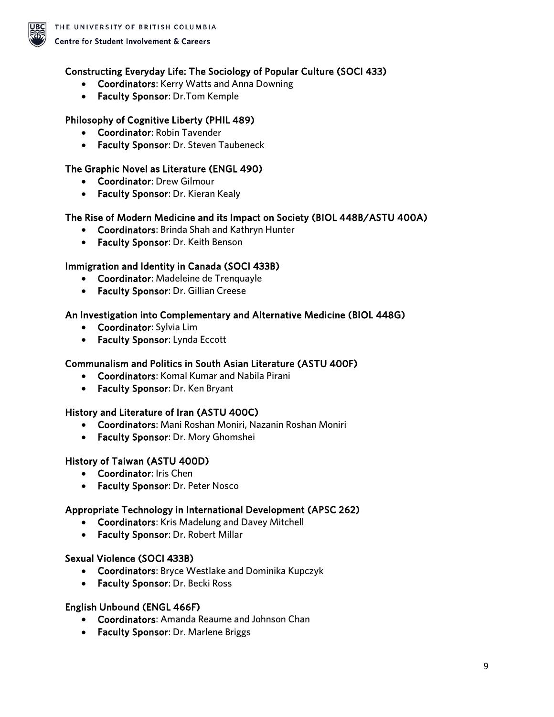

#### Constructing Everyday Life: The Sociology of Popular Culture (SOCI 433)

- Coordinators: Kerry Watts and Anna Downing
- Faculty Sponsor: Dr.Tom Kemple

#### Philosophy of Cognitive Liberty (PHIL 489)

- Coordinator: Robin Tavender
- Faculty Sponsor: Dr. Steven Taubeneck

#### The Graphic Novel as Literature (ENGL 490)

- Coordinator: Drew Gilmour
- Faculty Sponsor: Dr. Kieran Kealy

#### The Rise of Modern Medicine and its Impact on Society (BIOL 448B/ASTU 400A)

- Coordinators: Brinda Shah and Kathryn Hunter
- Faculty Sponsor: Dr. Keith Benson

#### Immigration and Identity in Canada (SOCI 433B)

- Coordinator: Madeleine de Trenquayle
- Faculty Sponsor: Dr. Gillian Creese

#### An Investigation into Complementary and Alternative Medicine (BIOL 448G)

- Coordinator: Sylvia Lim
- Faculty Sponsor: Lynda Eccott

#### Communalism and Politics in South Asian Literature (ASTU 400F)

- Coordinators: Komal Kumar and Nabila Pirani
- Faculty Sponsor: Dr. Ken Bryant

#### History and Literature of Iran (ASTU 400C)

- Coordinators: Mani Roshan Moniri, Nazanin Roshan Moniri
- Faculty Sponsor: Dr. Mory Ghomshei

#### History of Taiwan (ASTU 400D)

- Coordinator: Iris Chen
- Faculty Sponsor: Dr. Peter Nosco

#### Appropriate Technology in International Development (APSC 262)

- Coordinators: Kris Madelung and Davey Mitchell
- Faculty Sponsor: Dr. Robert Millar

#### Sexual Violence (SOCI 433B)

- Coordinators: Bryce Westlake and Dominika Kupczyk
- Faculty Sponsor: Dr. Becki Ross

#### English Unbound (ENGL 466F)

- Coordinators: Amanda Reaume and Johnson Chan
- Faculty Sponsor: Dr. Marlene Briggs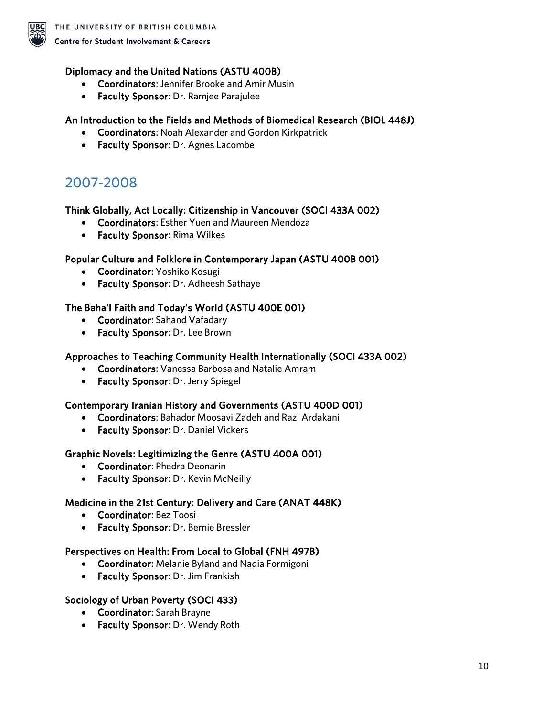

#### Diplomacy and the United Nations (ASTU 400B)

- Coordinators: Jennifer Brooke and Amir Musin
- Faculty Sponsor: Dr. Ramjee Parajulee

#### An Introduction to the Fields and Methods of Biomedical Research (BIOL 448J)

- Coordinators: Noah Alexander and Gordon Kirkpatrick
- Faculty Sponsor: Dr. Agnes Lacombe

## <span id="page-9-0"></span>2007-2008

#### Think Globally, Act Locally: Citizenship in Vancouver (SOCI 433A 002)

- Coordinators: Esther Yuen and Maureen Mendoza
- Faculty Sponsor: Rima Wilkes

#### Popular Culture and Folklore in Contemporary Japan (ASTU 400B 001)

- Coordinator: Yoshiko Kosugi
- Faculty Sponsor: Dr. Adheesh Sathaye

#### The Baha'I Faith and Today's World (ASTU 400E 001)

- Coordinator: Sahand Vafadary
- Faculty Sponsor: Dr. Lee Brown

#### Approaches to Teaching Community Health Internationally (SOCI 433A 002)

- Coordinators: Vanessa Barbosa and Natalie Amram
- Faculty Sponsor: Dr. Jerry Spiegel

#### Contemporary Iranian History and Governments (ASTU 400D 001)

- Coordinators: Bahador Moosavi Zadeh and Razi Ardakani
- Faculty Sponsor: Dr. Daniel Vickers

#### Graphic Novels: Legitimizing the Genre (ASTU 400A 001)

- Coordinator: Phedra Deonarin
- Faculty Sponsor: Dr. Kevin McNeilly

#### Medicine in the 21st Century: Delivery and Care (ANAT 448K)

- Coordinator: Bez Toosi
- Faculty Sponsor: Dr. Bernie Bressler

#### Perspectives on Health: From Local to Global (FNH 497B)

- Coordinator: Melanie Byland and Nadia Formigoni
- Faculty Sponsor: Dr. Jim Frankish

#### Sociology of Urban Poverty (SOCI 433)

- Coordinator: Sarah Brayne
- Faculty Sponsor: Dr. Wendy Roth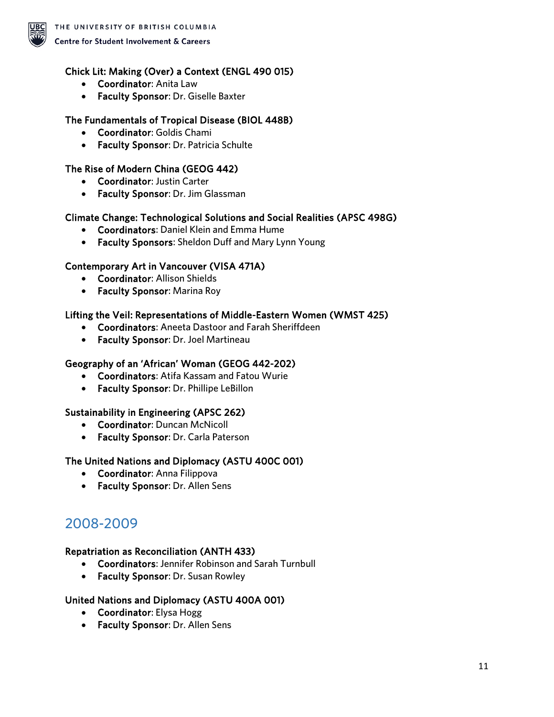

#### Chick Lit: Making (Over) a Context (ENGL 490 015)

- Coordinator: Anita Law
- Faculty Sponsor: Dr. Giselle Baxter

#### The Fundamentals of Tropical Disease (BIOL 448B)

- Coordinator: Goldis Chami
- Faculty Sponsor: Dr. Patricia Schulte

#### The Rise of Modern China (GEOG 442)

- Coordinator: Justin Carter
- Faculty Sponsor: Dr. Jim Glassman

#### Climate Change: Technological Solutions and Social Realities (APSC 498G)

- Coordinators: Daniel Klein and Emma Hume
- Faculty Sponsors: Sheldon Duff and Mary Lynn Young

#### Contemporary Art in Vancouver (VISA 471A)

- Coordinator: Allison Shields
- Faculty Sponsor: Marina Roy

#### Lifting the Veil: Representations of Middle-Eastern Women (WMST 425)

- Coordinators: Aneeta Dastoor and Farah Sheriffdeen
- Faculty Sponsor: Dr. Joel Martineau

#### Geography of an 'African' Woman (GEOG 442-202)

- Coordinators: Atifa Kassam and Fatou Wurie
- Faculty Sponsor: Dr. Phillipe LeBillon

#### Sustainability in Engineering (APSC 262)

- Coordinator: Duncan McNicoll
- Faculty Sponsor: Dr. Carla Paterson

#### The United Nations and Diplomacy (ASTU 400C 001)

- Coordinator: Anna Filippova
- Faculty Sponsor: Dr. Allen Sens

### <span id="page-10-0"></span>2008-2009

#### Repatriation as Reconciliation (ANTH 433)

- Coordinators: Jennifer Robinson and Sarah Turnbull
- Faculty Sponsor: Dr. Susan Rowley

#### United Nations and Diplomacy (ASTU 400A 001)

- Coordinator: Elysa Hogg
- Faculty Sponsor: Dr. Allen Sens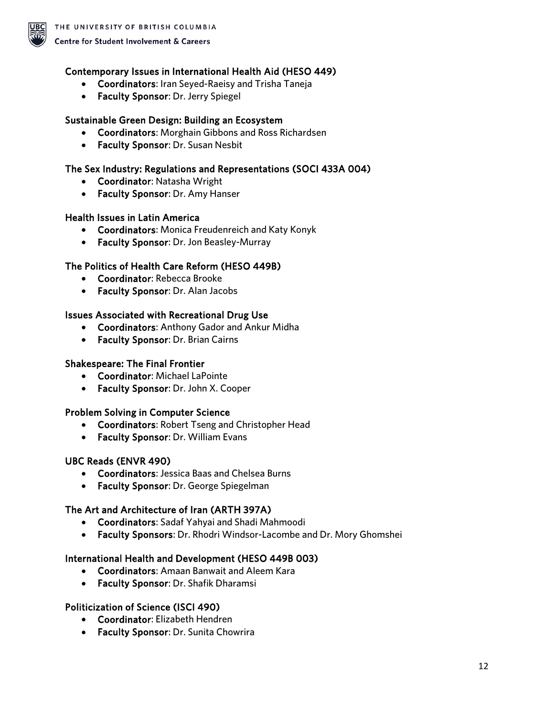

#### Contemporary Issues in International Health Aid (HESO 449)

- Coordinators: Iran Seyed-Raeisy and Trisha Taneja
- Faculty Sponsor: Dr. Jerry Spiegel

#### Sustainable Green Design: Building an Ecosystem

- Coordinators: Morghain Gibbons and Ross Richardsen
- Faculty Sponsor: Dr. Susan Nesbit

#### The Sex Industry: Regulations and Representations (SOCI 433A 004)

- Coordinator: Natasha Wright
- Faculty Sponsor: Dr. Amy Hanser

#### Health Issues in Latin America

- Coordinators: Monica Freudenreich and Katy Konyk
- Faculty Sponsor: Dr. Jon Beasley-Murray

#### The Politics of Health Care Reform (HESO 449B)

- Coordinator: Rebecca Brooke
- Faculty Sponsor: Dr. Alan Jacobs

#### Issues Associated with Recreational Drug Use

- Coordinators: Anthony Gador and Ankur Midha
- Faculty Sponsor: Dr. Brian Cairns

#### Shakespeare: The Final Frontier

- Coordinator: Michael LaPointe
- Faculty Sponsor: Dr. John X. Cooper

#### Problem Solving in Computer Science

- Coordinators: Robert Tseng and Christopher Head
- Faculty Sponsor: Dr. William Evans

#### UBC Reads (ENVR 490)

- Coordinators: Jessica Baas and Chelsea Burns
- Faculty Sponsor: Dr. George Spiegelman

#### The Art and Architecture of Iran (ARTH 397A)

- Coordinators: Sadaf Yahyai and Shadi Mahmoodi
- Faculty Sponsors: Dr. Rhodri Windsor-Lacombe and Dr. Mory Ghomshei

#### International Health and Development (HESO 449B 003)

- Coordinators: Amaan Banwait and Aleem Kara
- Faculty Sponsor: Dr. Shafik Dharamsi

#### Politicization of Science (ISCI 490)

- Coordinator: Elizabeth Hendren
- Faculty Sponsor: Dr. Sunita Chowrira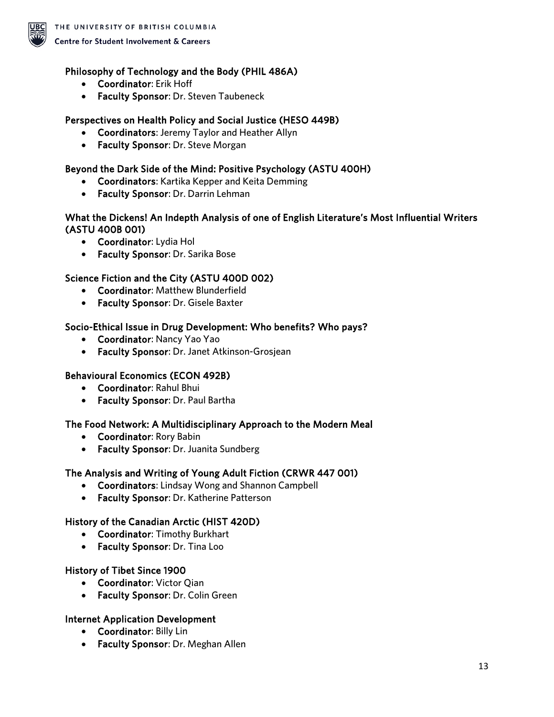

#### Philosophy of Technology and the Body (PHIL 486A)

- Coordinator: Erik Hoff
- Faculty Sponsor: Dr. Steven Taubeneck

#### Perspectives on Health Policy and Social Justice (HESO 449B)

- Coordinators: Jeremy Taylor and Heather Allyn
- Faculty Sponsor: Dr. Steve Morgan

#### Beyond the Dark Side of the Mind: Positive Psychology (ASTU 400H)

- Coordinators: Kartika Kepper and Keita Demming
- Faculty Sponsor: Dr. Darrin Lehman

#### What the Dickens! An Indepth Analysis of one of English Literature's Most Influential Writers (ASTU 400B 001)

- Coordinator: Lydia Hol
- Faculty Sponsor: Dr. Sarika Bose

#### Science Fiction and the City (ASTU 400D 002)

- Coordinator: Matthew Blunderfield
- Faculty Sponsor: Dr. Gisele Baxter

#### Socio-Ethical Issue in Drug Development: Who benefits? Who pays?

- Coordinator: Nancy Yao Yao
- Faculty Sponsor: Dr. Janet Atkinson-Grosjean

#### Behavioural Economics (ECON 492B)

- Coordinator: Rahul Bhui
- Faculty Sponsor: Dr. Paul Bartha

#### The Food Network: A Multidisciplinary Approach to the Modern Meal

- Coordinator: Rory Babin
- Faculty Sponsor: Dr. Juanita Sundberg

#### The Analysis and Writing of Young Adult Fiction (CRWR 447 001)

- Coordinators: Lindsay Wong and Shannon Campbell
- Faculty Sponsor: Dr. Katherine Patterson

#### History of the Canadian Arctic (HIST 420D)

- Coordinator: Timothy Burkhart
- Faculty Sponsor: Dr. Tina Loo

#### History of Tibet Since 1900

- Coordinator: Victor Qian
- Faculty Sponsor: Dr. Colin Green

#### Internet Application Development

- Coordinator: Billy Lin
- Faculty Sponsor: Dr. Meghan Allen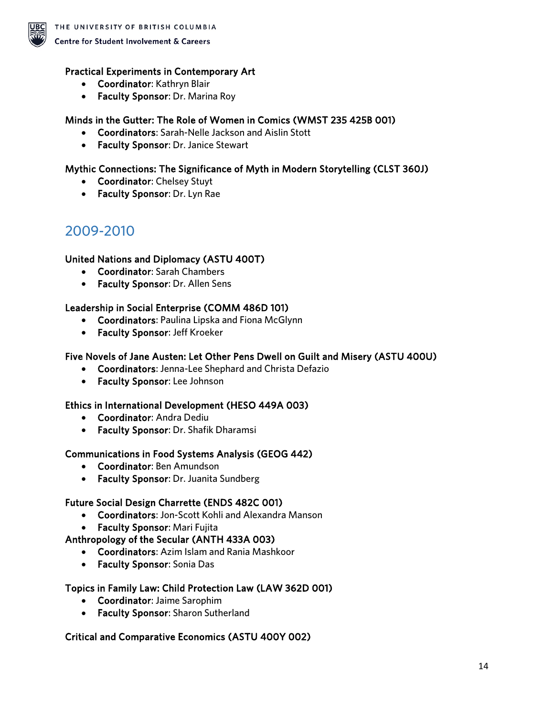

#### Practical Experiments in Contemporary Art

- Coordinator: Kathryn Blair
- Faculty Sponsor: Dr. Marina Roy

#### Minds in the Gutter: The Role of Women in Comics (WMST 235 425B 001)

- Coordinators: Sarah-Nelle Jackson and Aislin Stott
- Faculty Sponsor: Dr. Janice Stewart

#### Mythic Connections: The Significance of Myth in Modern Storytelling (CLST 360J)

- Coordinator: Chelsey Stuyt
- Faculty Sponsor: Dr. Lyn Rae

### <span id="page-13-0"></span>2009-2010

#### United Nations and Diplomacy (ASTU 400T)

- Coordinator: Sarah Chambers
- Faculty Sponsor: Dr. Allen Sens

#### Leadership in Social Enterprise (COMM 486D 101)

- Coordinators: Paulina Lipska and Fiona McGlynn
- Faculty Sponsor: Jeff Kroeker

#### Five Novels of Jane Austen: Let Other Pens Dwell on Guilt and Misery (ASTU 400U)

- Coordinators: Jenna-Lee Shephard and Christa Defazio
- Faculty Sponsor: Lee Johnson

#### Ethics in International Development (HESO 449A 003)

- Coordinator: Andra Dediu
- Faculty Sponsor: Dr. Shafik Dharamsi

#### Communications in Food Systems Analysis (GEOG 442)

- Coordinator: Ben Amundson
- Faculty Sponsor: Dr. Juanita Sundberg

#### Future Social Design Charrette (ENDS 482C 001)

- Coordinators: Jon-Scott Kohli and Alexandra Manson
- Faculty Sponsor: Mari Fujita

#### Anthropology of the Secular (ANTH 433A 003)

- Coordinators: Azim Islam and Rania Mashkoor
- Faculty Sponsor: Sonia Das

#### Topics in Family Law: Child Protection Law (LAW 362D 001)

- Coordinator: Jaime Sarophim
- Faculty Sponsor: Sharon Sutherland

#### Critical and Comparative Economics (ASTU 400Y 002)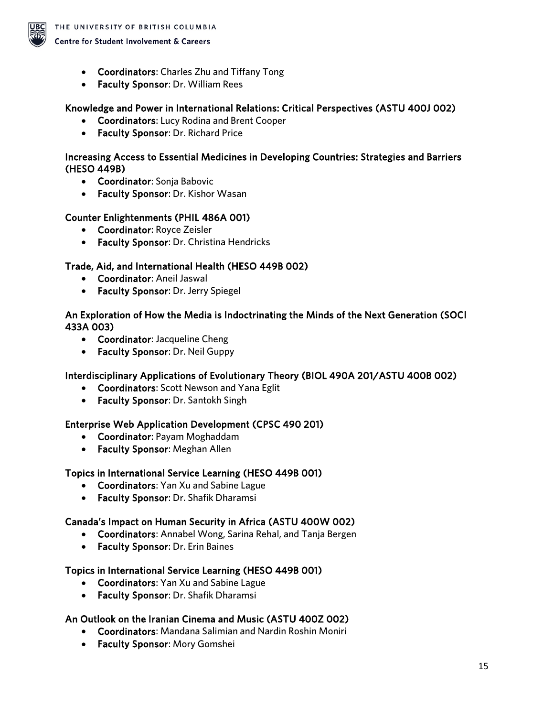

- Coordinators: Charles Zhu and Tiffany Tong
- Faculty Sponsor: Dr. William Rees

#### Knowledge and Power in International Relations: Critical Perspectives (ASTU 400J 002)

- Coordinators: Lucy Rodina and Brent Cooper
- Faculty Sponsor: Dr. Richard Price

#### Increasing Access to Essential Medicines in Developing Countries: Strategies and Barriers (HESO 449B)

- Coordinator: Sonja Babovic
- Faculty Sponsor: Dr. Kishor Wasan

#### Counter Enlightenments (PHIL 486A 001)

- Coordinator: Royce Zeisler
- Faculty Sponsor: Dr. Christina Hendricks

#### Trade, Aid, and International Health (HESO 449B 002)

- Coordinator: Aneil Jaswal
- Faculty Sponsor: Dr. Jerry Spiegel

#### An Exploration of How the Media is Indoctrinating the Minds of the Next Generation (SOCI 433A 003)

- Coordinator: Jacqueline Cheng
- Faculty Sponsor: Dr. Neil Guppy

#### Interdisciplinary Applications of Evolutionary Theory (BIOL 490A 201/ASTU 400B 002)

- Coordinators: Scott Newson and Yana Eglit
- Faculty Sponsor: Dr. Santokh Singh

#### Enterprise Web Application Development (CPSC 490 201)

- Coordinator: Payam Moghaddam
- Faculty Sponsor: Meghan Allen

#### Topics in International Service Learning (HESO 449B 001)

- Coordinators: Yan Xu and Sabine Lague
- Faculty Sponsor: Dr. Shafik Dharamsi

#### Canada's Impact on Human Security in Africa (ASTU 400W 002)

- Coordinators: Annabel Wong, Sarina Rehal, and Tanja Bergen
- Faculty Sponsor: Dr. Erin Baines

#### Topics in International Service Learning (HESO 449B 001)

- Coordinators: Yan Xu and Sabine Lague
- Faculty Sponsor: Dr. Shafik Dharamsi

#### An Outlook on the Iranian Cinema and Music (ASTU 400Z 002)

- Coordinators: Mandana Salimian and Nardin Roshin Moniri
- Faculty Sponsor: Mory Gomshei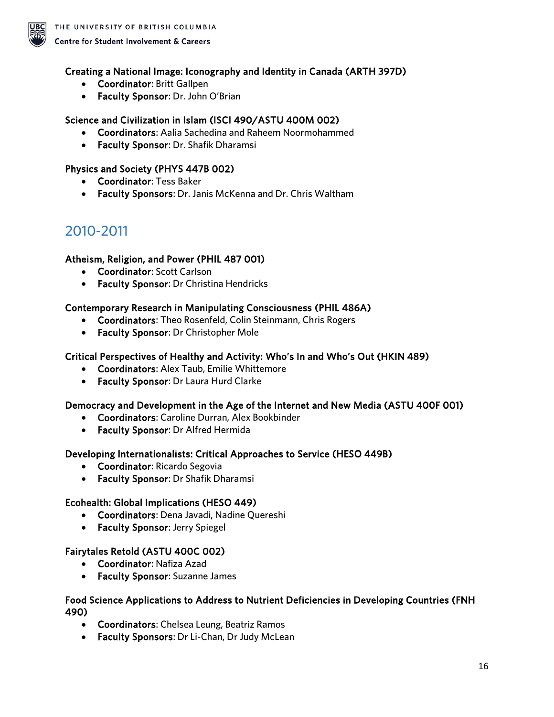

#### Creating a National Image: Iconography and Identity in Canada (ARTH 397D)

- Coordinator: Britt Gallpen
- Faculty Sponsor: Dr. John O'Brian

#### Science and Civilization in Islam (ISCI 490/ASTU 400M 002)

- Coordinators: Aalia Sachedina and Raheem Noormohammed
- Faculty Sponsor: Dr. Shafik Dharamsi

#### Physics and Society (PHYS 447B 002)

- Coordinator: Tess Baker
- Faculty Sponsors: Dr. Janis McKenna and Dr. Chris Waltham

### <span id="page-15-0"></span>2010-2011

#### Atheism, Religion, and Power (PHIL 487 001)

- Coordinator: Scott Carlson
- Faculty Sponsor: Dr Christina Hendricks

#### Contemporary Research in Manipulating Consciousness (PHIL 486A)

- Coordinators: Theo Rosenfeld, Colin Steinmann, Chris Rogers
- Faculty Sponsor: Dr Christopher Mole

#### Critical Perspectives of Healthy and Activity: Who's In and Who's Out (HKIN 489)

- Coordinators: Alex Taub, Emilie Whittemore
- Faculty Sponsor: Dr Laura Hurd Clarke

#### Democracy and Development in the Age of the Internet and New Media (ASTU 400F 001)

- Coordinators: Caroline Durran, Alex Bookbinder
- Faculty Sponsor: Dr Alfred Hermida

#### Developing Internationalists: Critical Approaches to Service (HESO 449B)

- Coordinator: Ricardo Segovia
- Faculty Sponsor: Dr Shafik Dharamsi

#### Ecohealth: Global Implications (HESO 449)

- Coordinators: Dena Javadi, Nadine Quereshi
- Faculty Sponsor: Jerry Spiegel

#### Fairytales Retold (ASTU 400C 002)

- Coordinator: Nafiza Azad
- Faculty Sponsor: Suzanne James

#### Food Science Applications to Address to Nutrient Deficiencies in Developing Countries (FNH 490)

- Coordinators: Chelsea Leung, Beatriz Ramos
- Faculty Sponsors: Dr Li-Chan, Dr Judy McLean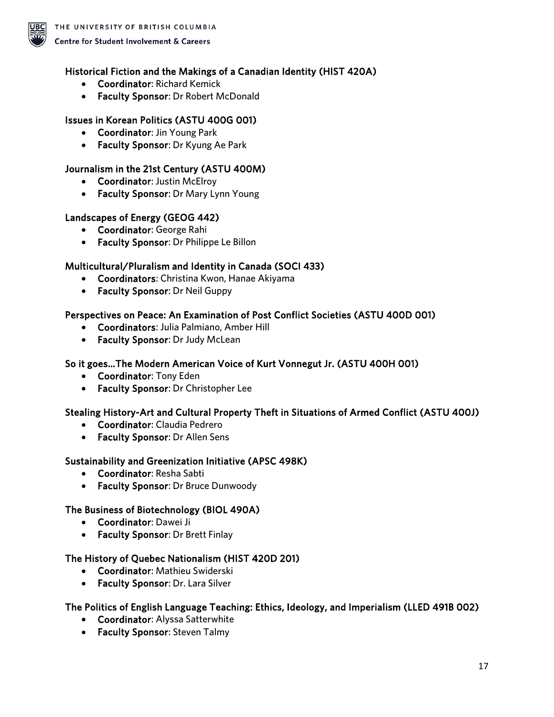

#### Historical Fiction and the Makings of a Canadian Identity (HIST 420A)

- Coordinator: Richard Kemick
- Faculty Sponsor: Dr Robert McDonald

#### Issues in Korean Politics (ASTU 400G 001)

- Coordinator: Jin Young Park
- Faculty Sponsor: Dr Kyung Ae Park

#### Journalism in the 21st Century (ASTU 400M)

- Coordinator: Justin McElroy
- Faculty Sponsor: Dr Mary Lynn Young

#### Landscapes of Energy (GEOG 442)

- Coordinator: George Rahi
- Faculty Sponsor: Dr Philippe Le Billon

#### Multicultural/Pluralism and Identity in Canada (SOCI 433)

- Coordinators: Christina Kwon, Hanae Akiyama
- Faculty Sponsor: Dr Neil Guppy

#### Perspectives on Peace: An Examination of Post Conflict Societies (ASTU 400D 001)

- Coordinators: Julia Palmiano, Amber Hill
- Faculty Sponsor: Dr Judy McLean

#### So it goes…The Modern American Voice of Kurt Vonnegut Jr. (ASTU 400H 001)

- Coordinator: Tony Eden
- Faculty Sponsor: Dr Christopher Lee

#### Stealing History-Art and Cultural Property Theft in Situations of Armed Conflict (ASTU 400J)

- Coordinator: Claudia Pedrero
- Faculty Sponsor: Dr Allen Sens

#### Sustainability and Greenization Initiative (APSC 498K)

- Coordinator: Resha Sabti
- Faculty Sponsor: Dr Bruce Dunwoody

#### The Business of Biotechnology (BIOL 490A)

- Coordinator: Dawei Ji
- Faculty Sponsor: Dr Brett Finlay

#### The History of Quebec Nationalism (HIST 420D 201)

- Coordinator: Mathieu Swiderski
- Faculty Sponsor: Dr. Lara Silver

#### The Politics of English Language Teaching: Ethics, Ideology, and Imperialism (LLED 491B 002)

- Coordinator: Alyssa Satterwhite
- Faculty Sponsor: Steven Talmy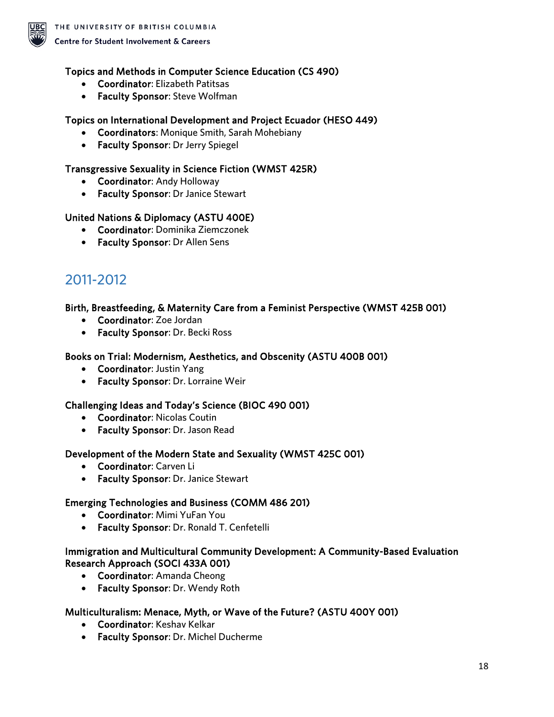

#### Topics and Methods in Computer Science Education (CS 490)

- Coordinator: Elizabeth Patitsas
- Faculty Sponsor: Steve Wolfman

#### Topics on International Development and Project Ecuador (HESO 449)

- Coordinators: Monique Smith, Sarah Mohebiany
- Faculty Sponsor: Dr Jerry Spiegel

#### Transgressive Sexuality in Science Fiction (WMST 425R)

- Coordinator: Andy Holloway
- Faculty Sponsor: Dr Janice Stewart

#### United Nations & Diplomacy (ASTU 400E)

- Coordinator: Dominika Ziemczonek
- Faculty Sponsor: Dr Allen Sens

### <span id="page-17-0"></span>2011-2012

#### Birth, Breastfeeding, & Maternity Care from a Feminist Perspective (WMST 425B 001)

- Coordinator: Zoe Jordan
- Faculty Sponsor: Dr. Becki Ross

#### Books on Trial: Modernism, Aesthetics, and Obscenity (ASTU 400B 001)

- Coordinator: Justin Yang
- Faculty Sponsor: Dr. Lorraine Weir

#### Challenging Ideas and Today's Science (BIOC 490 001)

- Coordinator: Nicolas Coutin
- Faculty Sponsor: Dr. Jason Read

#### Development of the Modern State and Sexuality (WMST 425C 001)

- Coordinator: Carven Li
- Faculty Sponsor: Dr. Janice Stewart

#### Emerging Technologies and Business (COMM 486 201)

- Coordinator: Mimi YuFan You
- Faculty Sponsor: Dr. Ronald T. Cenfetelli

#### Immigration and Multicultural Community Development: A Community-Based Evaluation Research Approach (SOCI 433A 001)

- Coordinator: Amanda Cheong
- Faculty Sponsor: Dr. Wendy Roth

#### Multiculturalism: Menace, Myth, or Wave of the Future? (ASTU 400Y 001)

- Coordinator: Keshav Kelkar
- Faculty Sponsor: Dr. Michel Ducherme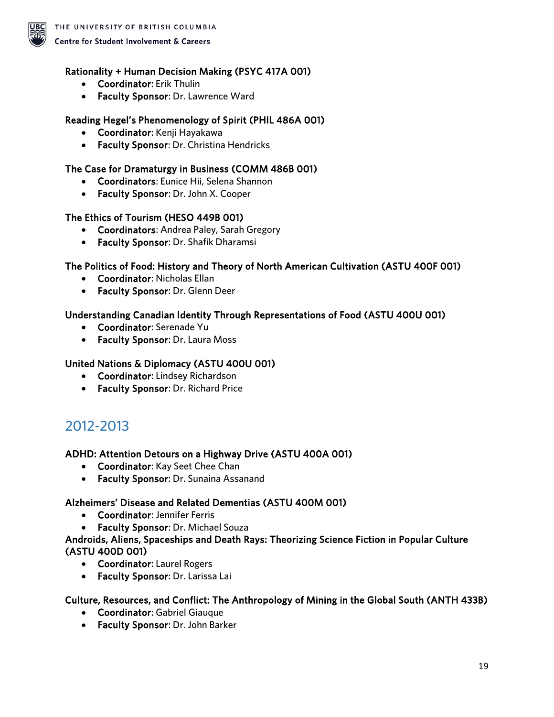

#### Rationality + Human Decision Making (PSYC 417A 001)

- Coordinator: Erik Thulin
- Faculty Sponsor: Dr. Lawrence Ward

#### Reading Hegel's Phenomenology of Spirit (PHIL 486A 001)

- Coordinator: Kenji Hayakawa
- Faculty Sponsor: Dr. Christina Hendricks

#### The Case for Dramaturgy in Business (COMM 486B 001)

- Coordinators: Eunice Hii, Selena Shannon
- Faculty Sponsor: Dr. John X. Cooper

#### The Ethics of Tourism (HESO 449B 001)

- Coordinators: Andrea Paley, Sarah Gregory
- Faculty Sponsor: Dr. Shafik Dharamsi

#### The Politics of Food: History and Theory of North American Cultivation (ASTU 400F 001)

- Coordinator: Nicholas Ellan
- Faculty Sponsor: Dr. Glenn Deer

#### Understanding Canadian Identity Through Representations of Food (ASTU 400U 001)

- Coordinator: Serenade Yu
- Faculty Sponsor: Dr. Laura Moss

#### United Nations & Diplomacy (ASTU 400U 001)

- Coordinator: Lindsey Richardson
- Faculty Sponsor: Dr. Richard Price

### <span id="page-18-0"></span>2012-2013

#### ADHD: Attention Detours on a Highway Drive (ASTU 400A 001)

- Coordinator: Kay Seet Chee Chan
- Faculty Sponsor: Dr. Sunaina Assanand

#### Alzheimers' Disease and Related Dementias (ASTU 400M 001)

- Coordinator: Jennifer Ferris
- Faculty Sponsor: Dr. Michael Souza

#### Androids, Aliens, Spaceships and Death Rays: Theorizing Science Fiction in Popular Culture (ASTU 400D 001)

- Coordinator: Laurel Rogers
- Faculty Sponsor: Dr. Larissa Lai

#### Culture, Resources, and Conflict: The Anthropology of Mining in the Global South (ANTH 433B)

- Coordinator: Gabriel Giauque
- Faculty Sponsor: Dr. John Barker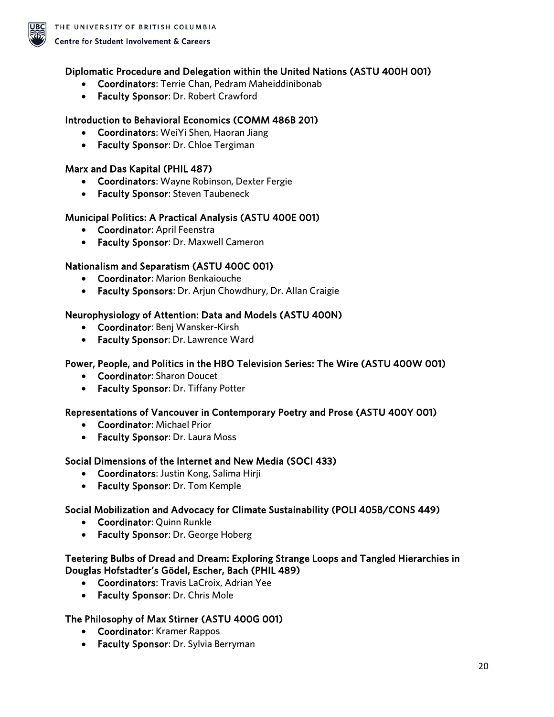

#### Diplomatic Procedure and Delegation within the United Nations (ASTU 400H 001)

- Coordinators: Terrie Chan, Pedram Maheiddinibonab
- Faculty Sponsor: Dr. Robert Crawford

#### Introduction to Behavioral Economics (COMM 486B 201)

- Coordinators: WeiYi Shen, Haoran Jiang
- Faculty Sponsor: Dr. Chloe Tergiman

#### Marx and Das Kapital (PHIL 487)

- Coordinators: Wayne Robinson, Dexter Fergie
- Faculty Sponsor: Steven Taubeneck

#### Municipal Politics: A Practical Analysis (ASTU 400E 001)

- Coordinator: April Feenstra
- Faculty Sponsor: Dr. Maxwell Cameron

#### Nationalism and Separatism (ASTU 400C 001)

- Coordinator: Marion Benkaiouche
- Faculty Sponsors: Dr. Arjun Chowdhury, Dr. Allan Craigie

#### Neurophysiology of Attention: Data and Models (ASTU 400N)

- Coordinator: Benj Wansker-Kirsh
- Faculty Sponsor: Dr. Lawrence Ward

#### Power, People, and Politics in the HBO Television Series: The Wire (ASTU 400W 001)

- Coordinator: Sharon Doucet
- Faculty Sponsor: Dr. Tiffany Potter

#### Representations of Vancouver in Contemporary Poetry and Prose (ASTU 400Y 001)

- Coordinator: Michael Prior
- Faculty Sponsor: Dr. Laura Moss

#### Social Dimensions of the Internet and New Media (SOCI 433)

- Coordinators: Justin Kong, Salima Hirji
- Faculty Sponsor: Dr. Tom Kemple

#### Social Mobilization and Advocacy for Climate Sustainability (POLI 405B/CONS 449)

- Coordinator: Quinn Runkle
- Faculty Sponsor: Dr. George Hoberg

#### Teetering Bulbs of Dread and Dream: Exploring Strange Loops and Tangled Hierarchies in Douglas Hofstadter's Gödel, Escher, Bach (PHIL 489)

- Coordinators: Travis LaCroix, Adrian Yee
- Faculty Sponsor: Dr. Chris Mole

#### The Philosophy of Max Stirner (ASTU 400G 001)

- Coordinator: Kramer Rappos
- Faculty Sponsor: Dr. Sylvia Berryman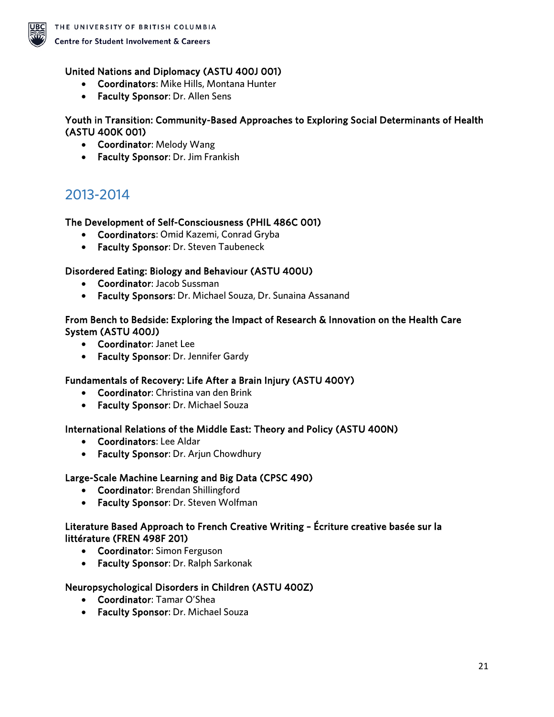

#### United Nations and Diplomacy (ASTU 400J 001)

- Coordinators: Mike Hills, Montana Hunter
- Faculty Sponsor: Dr. Allen Sens

#### Youth in Transition: Community-Based Approaches to Exploring Social Determinants of Health (ASTU 400K 001)

- Coordinator: Melody Wang
- Faculty Sponsor: Dr. Jim Frankish

### <span id="page-20-0"></span>2013-2014

#### The Development of Self-Consciousness (PHIL 486C 001)

- Coordinators: Omid Kazemi, Conrad Gryba
- Faculty Sponsor: Dr. Steven Taubeneck

#### Disordered Eating: Biology and Behaviour (ASTU 400U)

- Coordinator: Jacob Sussman
- Faculty Sponsors: Dr. Michael Souza, Dr. Sunaina Assanand

#### From Bench to Bedside: Exploring the Impact of Research & Innovation on the Health Care System (ASTU 400J)

- Coordinator: Janet Lee
- Faculty Sponsor: Dr. Jennifer Gardy

#### Fundamentals of Recovery: Life After a Brain Injury (ASTU 400Y)

- Coordinator: Christina van den Brink
- Faculty Sponsor: Dr. Michael Souza

#### International Relations of the Middle East: Theory and Policy (ASTU 400N)

- Coordinators: Lee Aldar
- Faculty Sponsor: Dr. Arjun Chowdhury

#### Large-Scale Machine Learning and Big Data (CPSC 490)

- Coordinator: Brendan Shillingford
- Faculty Sponsor: Dr. Steven Wolfman

#### Literature Based Approach to French Creative Writing – Écriture creative basée sur la littérature (FREN 498F 201)

- Coordinator: Simon Ferguson
- Faculty Sponsor: Dr. Ralph Sarkonak

#### Neuropsychological Disorders in Children (ASTU 400Z)

- Coordinator: Tamar O'Shea
- Faculty Sponsor: Dr. Michael Souza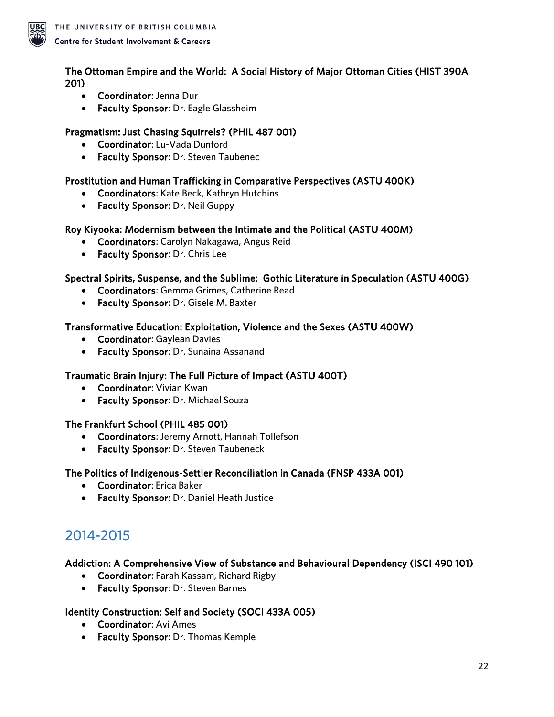

#### The Ottoman Empire and the World: A Social History of Major Ottoman Cities (HIST 390A 201)

- Coordinator: Jenna Dur
- Faculty Sponsor: Dr. Eagle Glassheim

### Pragmatism: Just Chasing Squirrels? (PHIL 487 001)

- Coordinator: Lu-Vada Dunford
- Faculty Sponsor: Dr. Steven Taubenec

#### Prostitution and Human Trafficking in Comparative Perspectives (ASTU 400K)

- Coordinators: Kate Beck, Kathryn Hutchins
- Faculty Sponsor: Dr. Neil Guppy

#### Roy Kiyooka: Modernism between the Intimate and the Political (ASTU 400M)

- Coordinators: Carolyn Nakagawa, Angus Reid
- Faculty Sponsor: Dr. Chris Lee

#### Spectral Spirits, Suspense, and the Sublime: Gothic Literature in Speculation (ASTU 400G)

- Coordinators: Gemma Grimes, Catherine Read
- Faculty Sponsor: Dr. Gisele M. Baxter

#### Transformative Education: Exploitation, Violence and the Sexes (ASTU 400W)

- Coordinator: Gaylean Davies
- Faculty Sponsor: Dr. Sunaina Assanand

### Traumatic Brain Injury: The Full Picture of Impact (ASTU 400T)

- Coordinator: Vivian Kwan
- Faculty Sponsor: Dr. Michael Souza

#### The Frankfurt School (PHIL 485 001)

- Coordinators: Jeremy Arnott, Hannah Tollefson
- Faculty Sponsor: Dr. Steven Taubeneck

#### The Politics of Indigenous-Settler Reconciliation in Canada (FNSP 433A 001)

- Coordinator: Erica Baker
- Faculty Sponsor: Dr. Daniel Heath Justice

### <span id="page-21-0"></span>2014-2015

#### Addiction: A Comprehensive View of Substance and Behavioural Dependency (ISCI 490 101)

- Coordinator: Farah Kassam, Richard Rigby
- Faculty Sponsor: Dr. Steven Barnes

#### Identity Construction: Self and Society (SOCI 433A 005)

- Coordinator: Avi Ames
- Faculty Sponsor: Dr. Thomas Kemple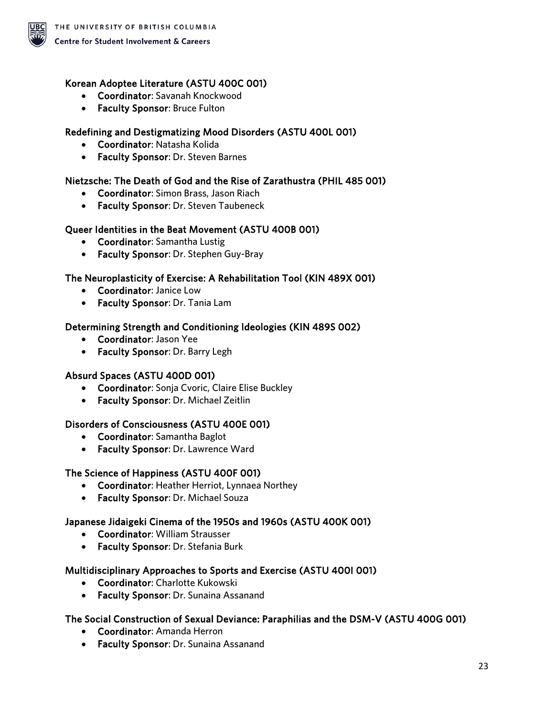

#### Korean Adoptee Literature (ASTU 400C 001)

- Coordinator: Savanah Knockwood
- Faculty Sponsor: Bruce Fulton

#### Redefining and Destigmatizing Mood Disorders (ASTU 400L 001)

- Coordinator: Natasha Kolida
- Faculty Sponsor: Dr. Steven Barnes

#### Nietzsche: The Death of God and the Rise of Zarathustra (PHIL 485 001)

- Coordinator: Simon Brass, Jason Riach
- Faculty Sponsor: Dr. Steven Taubeneck

#### Queer Identities in the Beat Movement (ASTU 400B 001)

- Coordinator: Samantha Lustig
- Faculty Sponsor: Dr. Stephen Guy-Bray

#### The Neuroplasticity of Exercise: A Rehabilitation Tool (KIN 489X 001)

- Coordinator: Janice Low
- Faculty Sponsor: Dr. Tania Lam

#### Determining Strength and Conditioning Ideologies (KIN 489S 002)

- Coordinator: Jason Yee
- Faculty Sponsor: Dr. Barry Legh

#### Absurd Spaces (ASTU 400D 001)

- Coordinator: Sonja Cvoric, Claire Elise Buckley
- Faculty Sponsor: Dr. Michael Zeitlin

#### Disorders of Consciousness (ASTU 400E 001)

- Coordinator: Samantha Baglot
- Faculty Sponsor: Dr. Lawrence Ward

#### The Science of Happiness (ASTU 400F 001)

- Coordinator: Heather Herriot, Lynnaea Northey
- Faculty Sponsor: Dr. Michael Souza

#### Japanese Jidaigeki Cinema of the 1950s and 1960s (ASTU 400K 001)

- Coordinator: William Strausser
- Faculty Sponsor: Dr. Stefania Burk

#### Multidisciplinary Approaches to Sports and Exercise (ASTU 400I 001)

- Coordinator: Charlotte Kukowski
- Faculty Sponsor: Dr. Sunaina Assanand

#### The Social Construction of Sexual Deviance: Paraphilias and the DSM-V (ASTU 400G 001)

- Coordinator: Amanda Herron
- Faculty Sponsor: Dr. Sunaina Assanand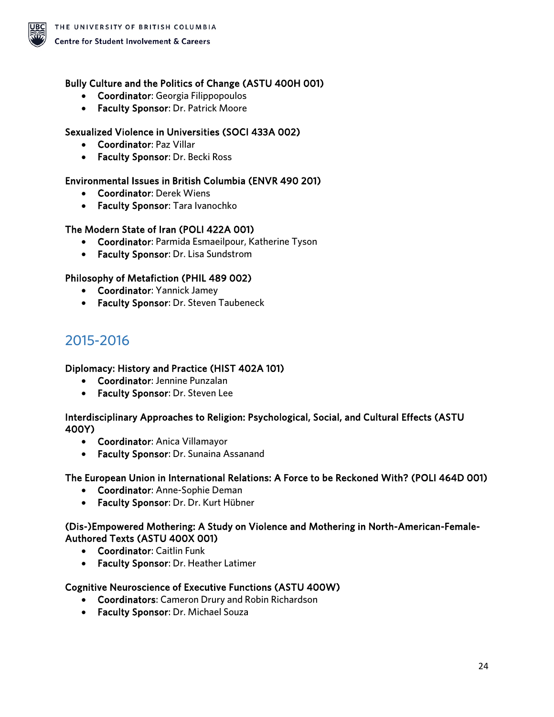

#### Bully Culture and the Politics of Change (ASTU 400H 001)

- Coordinator: Georgia Filippopoulos
- Faculty Sponsor: Dr. Patrick Moore

#### Sexualized Violence in Universities (SOCI 433A 002)

- Coordinator: Paz Villar
- Faculty Sponsor: Dr. Becki Ross

#### Environmental Issues in British Columbia (ENVR 490 201)

- Coordinator: Derek Wiens
- Faculty Sponsor: Tara Ivanochko

#### The Modern State of Iran (POLI 422A 001)

- Coordinator: Parmida Esmaeilpour, Katherine Tyson
- Faculty Sponsor: Dr. Lisa Sundstrom

#### Philosophy of Metafiction (PHIL 489 002)

- Coordinator: Yannick Jamey
- Faculty Sponsor: Dr. Steven Taubeneck

### <span id="page-23-0"></span>2015-2016

#### Diplomacy: History and Practice (HIST 402A 101)

- Coordinator: Jennine Punzalan
- Faculty Sponsor: Dr. Steven Lee

#### Interdisciplinary Approaches to Religion: Psychological, Social, and Cultural Effects (ASTU 400Y)

- Coordinator: Anica Villamayor
- Faculty Sponsor: Dr. Sunaina Assanand

#### The European Union in International Relations: A Force to be Reckoned With? (POLI 464D 001)

- Coordinator: Anne-Sophie Deman
- Faculty Sponsor: Dr. Dr. Kurt Hübner

#### (Dis-)Empowered Mothering: A Study on Violence and Mothering in North-American-Female-Authored Texts (ASTU 400X 001)

- Coordinator: Caitlin Funk
- Faculty Sponsor: Dr. Heather Latimer

#### Cognitive Neuroscience of Executive Functions (ASTU 400W)

- Coordinators: Cameron Drury and Robin Richardson
- Faculty Sponsor: Dr. Michael Souza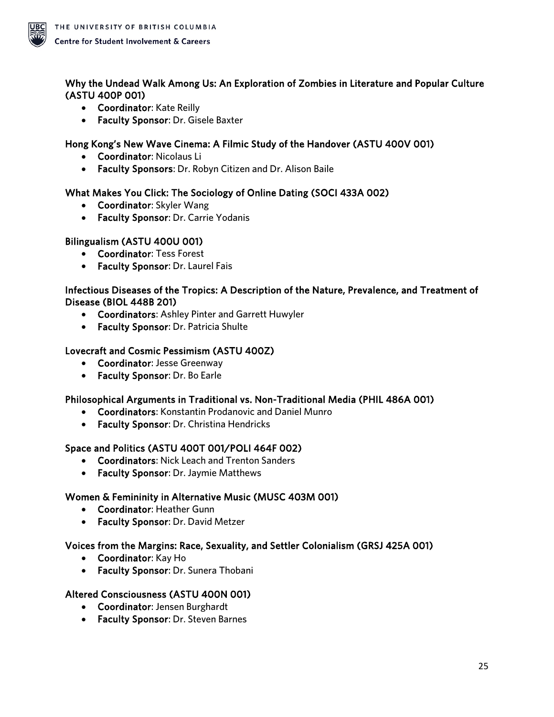

### Why the Undead Walk Among Us: An Exploration of Zombies in Literature and Popular Culture (ASTU 400P 001)

- Coordinator: Kate Reilly
- Faculty Sponsor: Dr. Gisele Baxter

#### Hong Kong's New Wave Cinema: A Filmic Study of the Handover (ASTU 400V 001)

- Coordinator: Nicolaus Li
- Faculty Sponsors: Dr. Robyn Citizen and Dr. Alison Baile

#### What Makes You Click: The Sociology of Online Dating (SOCI 433A 002)

- Coordinator: Skyler Wang
- Faculty Sponsor: Dr. Carrie Yodanis

#### Bilingualism (ASTU 400U 001)

- Coordinator: Tess Forest
- Faculty Sponsor: Dr. Laurel Fais

#### Infectious Diseases of the Tropics: A Description of the Nature, Prevalence, and Treatment of Disease (BIOL 448B 201)

- Coordinators: Ashley Pinter and Garrett Huwyler
- Faculty Sponsor: Dr. Patricia Shulte

#### Lovecraft and Cosmic Pessimism (ASTU 400Z)

- Coordinator: Jesse Greenway
- Faculty Sponsor: Dr. Bo Earle

#### Philosophical Arguments in Traditional vs. Non-Traditional Media (PHIL 486A 001)

- Coordinators: Konstantin Prodanovic and Daniel Munro
- Faculty Sponsor: Dr. Christina Hendricks

#### Space and Politics (ASTU 400T 001/POLI 464F 002)

- Coordinators: Nick Leach and Trenton Sanders
- Faculty Sponsor: Dr. Jaymie Matthews

#### Women & Femininity in Alternative Music (MUSC 403M 001)

- Coordinator: Heather Gunn
- Faculty Sponsor: Dr. David Metzer

#### Voices from the Margins: Race, Sexuality, and Settler Colonialism (GRSJ 425A 001)

- Coordinator: Kay Ho
- Faculty Sponsor: Dr. Sunera Thobani

#### Altered Consciousness (ASTU 400N 001)

- Coordinator: Jensen Burghardt
- Faculty Sponsor: Dr. Steven Barnes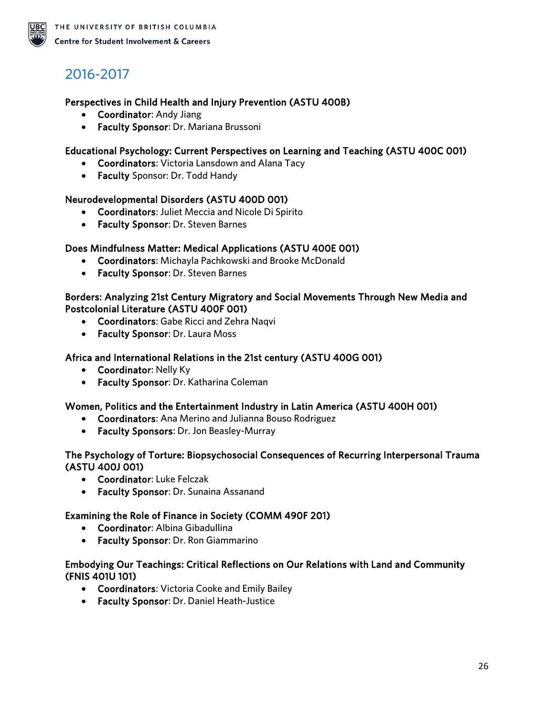# <span id="page-25-0"></span>2016-2017

#### Perspectives in Child Health and Injury Prevention (ASTU 400B)

- Coordinator: Andy Jiang
- Faculty Sponsor: Dr. Mariana Brussoni

#### Educational Psychology: Current Perspectives on Learning and Teaching (ASTU 400C 001)

- Coordinators: Victoria Lansdown and Alana Tacy
- Faculty Sponsor: Dr. Todd Handy

#### Neurodevelopmental Disorders (ASTU 400D 001)

- Coordinators: Juliet Meccia and Nicole Di Spirito
- Faculty Sponsor: Dr. Steven Barnes

#### Does Mindfulness Matter: Medical Applications (ASTU 400E 001)

- Coordinators: Michayla Pachkowski and Brooke McDonald
- Faculty Sponsor: Dr. Steven Barnes

#### Borders: Analyzing 21st Century Migratory and Social Movements Through New Media and Postcolonial Literature (ASTU 400F 001)

- Coordinators: Gabe Ricci and Zehra Naqvi
- Faculty Sponsor: Dr. Laura Moss

#### Africa and International Relations in the 21st century (ASTU 400G 001)

- Coordinator: Nelly Ky
- Faculty Sponsor: Dr. Katharina Coleman

#### Women, Politics and the Entertainment Industry in Latin America (ASTU 400H 001)

- Coordinators: Ana Merino and Julianna Bouso Rodriguez
- Faculty Sponsors: Dr. Jon Beasley-Murray

#### The Psychology of Torture: Biopsychosocial Consequences of Recurring Interpersonal Trauma (ASTU 400J 001)

- Coordinator: Luke Felczak
- Faculty Sponsor: Dr. Sunaina Assanand

#### Examining the Role of Finance in Society (COMM 490F 201)

- Coordinator: Albina Gibadullina
- Faculty Sponsor: Dr. Ron Giammarino

#### Embodying Our Teachings: Critical Reflections on Our Relations with Land and Community (FNIS 401U 101)

- Coordinators: Victoria Cooke and Emily Bailey
- Faculty Sponsor: Dr. Daniel Heath-Justice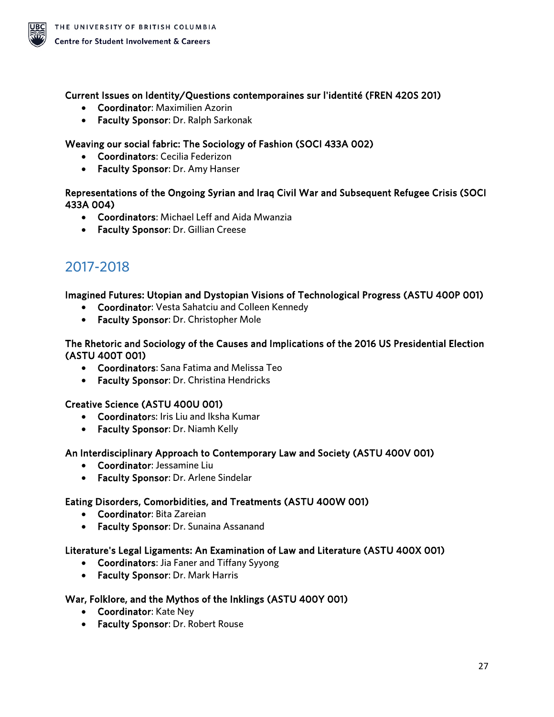

#### Current Issues on Identity/Questions contemporaines sur l'identité (FREN 420S 201)

- Coordinator: Maximilien Azorin
- Faculty Sponsor: Dr. Ralph Sarkonak

#### Weaving our social fabric: The Sociology of Fashion (SOCI 433A 002)

- Coordinators: Cecilia Federizon
- Faculty Sponsor: Dr. Amy Hanser

#### Representations of the Ongoing Syrian and Iraq Civil War and Subsequent Refugee Crisis (SOCI 433A 004)

- Coordinators: Michael Leff and Aida Mwanzia
- Faculty Sponsor: Dr. Gillian Creese

### <span id="page-26-0"></span>2017-2018

### Imagined Futures: Utopian and Dystopian Visions of Technological Progress (ASTU 400P 001)

- Coordinator: Vesta Sahatciu and Colleen Kennedy
- Faculty Sponsor: Dr. Christopher Mole

#### The Rhetoric and Sociology of the Causes and Implications of the 2016 US Presidential Election (ASTU 400T 001)

- Coordinators: Sana Fatima and Melissa Teo
- Faculty Sponsor: Dr. Christina Hendricks

#### Creative Science (ASTU 400U 001)

- Coordinators: Iris Liu and Iksha Kumar
- Faculty Sponsor: Dr. Niamh Kelly

#### An Interdisciplinary Approach to Contemporary Law and Society (ASTU 400V 001)

- Coordinator: Jessamine Liu
- Faculty Sponsor: Dr. Arlene Sindelar

#### Eating Disorders, Comorbidities, and Treatments (ASTU 400W 001)

- Coordinator: Bita Zareian
- Faculty Sponsor: Dr. Sunaina Assanand

### Literature's Legal Ligaments: An Examination of Law and Literature (ASTU 400X 001)

- Coordinators: Jia Faner and Tiffany Syyong
- Faculty Sponsor: Dr. Mark Harris

### War, Folklore, and the Mythos of the Inklings (ASTU 400Y 001)

- Coordinator: Kate Ney
- Faculty Sponsor: Dr. Robert Rouse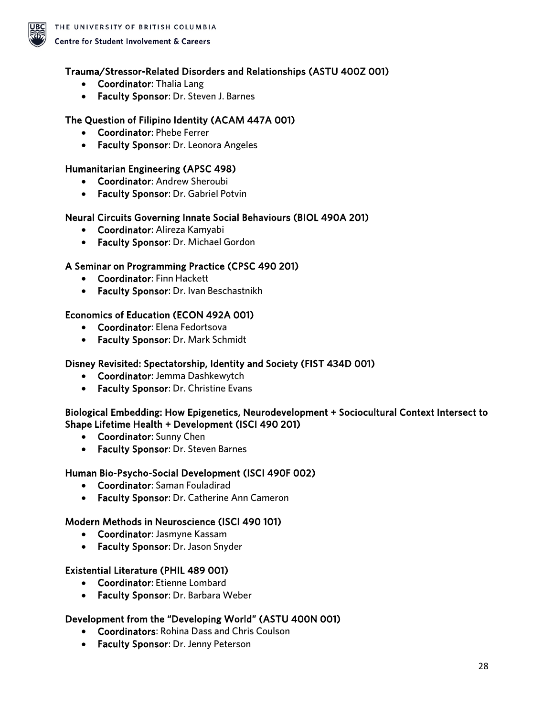

#### Trauma/Stressor-Related Disorders and Relationships (ASTU 400Z 001)

- Coordinator: Thalia Lang
- Faculty Sponsor: Dr. Steven J. Barnes

#### The Question of Filipino Identity (ACAM 447A 001)

- Coordinator: Phebe Ferrer
- Faculty Sponsor: Dr. Leonora Angeles

#### Humanitarian Engineering (APSC 498)

- Coordinator: Andrew Sheroubi
- Faculty Sponsor: Dr. Gabriel Potvin

#### Neural Circuits Governing Innate Social Behaviours (BIOL 490A 201)

- Coordinator: Alireza Kamyabi
- Faculty Sponsor: Dr. Michael Gordon

#### A Seminar on Programming Practice (CPSC 490 201)

- Coordinator: Finn Hackett
- Faculty Sponsor: Dr. Ivan Beschastnikh

#### Economics of Education (ECON 492A 001)

- Coordinator: Elena Fedortsova
- Faculty Sponsor: Dr. Mark Schmidt

#### Disney Revisited: Spectatorship, Identity and Society (FIST 434D 001)

- Coordinator: Jemma Dashkewytch
- Faculty Sponsor: Dr. Christine Evans

#### Biological Embedding: How Epigenetics, Neurodevelopment + Sociocultural Context Intersect to Shape Lifetime Health + Development (ISCI 490 201)

- Coordinator: Sunny Chen
- Faculty Sponsor: Dr. Steven Barnes

#### Human Bio-Psycho-Social Development (ISCI 490F 002)

- Coordinator: Saman Fouladirad
- Faculty Sponsor: Dr. Catherine Ann Cameron

#### Modern Methods in Neuroscience (ISCI 490 101)

- Coordinator: Jasmyne Kassam
- Faculty Sponsor: Dr. Jason Snyder

#### Existential Literature (PHIL 489 001)

- Coordinator: Etienne Lombard
- Faculty Sponsor: Dr. Barbara Weber

#### Development from the "Developing World" (ASTU 400N 001)

- Coordinators: Rohina Dass and Chris Coulson
- Faculty Sponsor: Dr. Jenny Peterson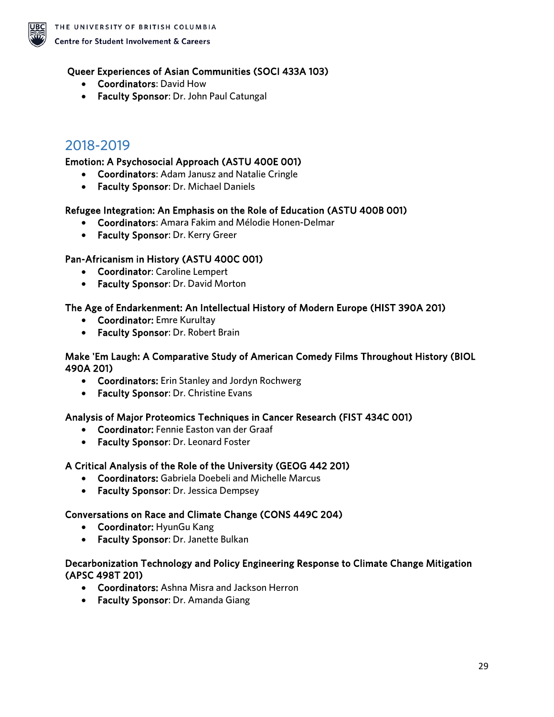

### Queer Experiences of Asian Communities (SOCI 433A 103)

- Coordinators: David How
- Faculty Sponsor: Dr. John Paul Catungal

### <span id="page-28-0"></span>2018-2019

### Emotion: A Psychosocial Approach (ASTU 400E 001)

- Coordinators: Adam Janusz and Natalie Cringle
- Faculty Sponsor: Dr. Michael Daniels

#### Refugee Integration: An Emphasis on the Role of Education (ASTU 400B 001)

- Coordinators: Amara Fakim and Mélodie Honen-Delmar
- Faculty Sponsor: Dr. Kerry Greer

### Pan-Africanism in History (ASTU 400C 001)

- Coordinator: Caroline Lempert
- Faculty Sponsor: Dr. David Morton

### The Age of Endarkenment: An Intellectual History of Modern Europe (HIST 390A 201)

- Coordinator: Emre Kurultay
- Faculty Sponsor: Dr. Robert Brain

#### Make 'Em Laugh: A Comparative Study of American Comedy Films Throughout History (BIOL 490A 201)

- Coordinators: Erin Stanley and Jordyn Rochwerg
- Faculty Sponsor: Dr. Christine Evans

### Analysis of Major Proteomics Techniques in Cancer Research (FIST 434C 001)

- Coordinator: Fennie Easton van der Graaf
- Faculty Sponsor: Dr. Leonard Foster

### A Critical Analysis of the Role of the University (GEOG 442 201)

- Coordinators: Gabriela Doebeli and Michelle Marcus
- Faculty Sponsor: Dr. Jessica Dempsey

### Conversations on Race and Climate Change (CONS 449C 204)

- Coordinator: HyunGu Kang
- Faculty Sponsor: Dr. Janette Bulkan

#### Decarbonization Technology and Policy Engineering Response to Climate Change Mitigation (APSC 498T 201)

- Coordinators: Ashna Misra and Jackson Herron
- Faculty Sponsor: Dr. Amanda Giang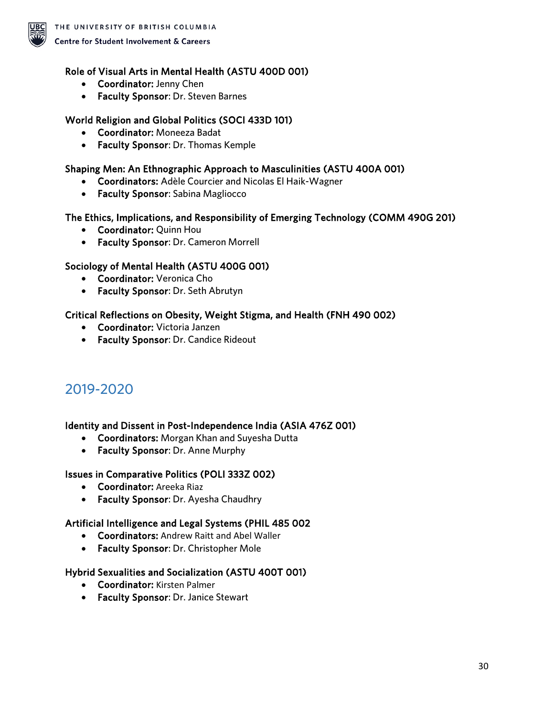

#### Role of Visual Arts in Mental Health (ASTU 400D 001)

- Coordinator: Jenny Chen
- Faculty Sponsor: Dr. Steven Barnes

#### World Religion and Global Politics (SOCI 433D 101)

- Coordinator: Moneeza Badat
- Faculty Sponsor: Dr. Thomas Kemple

#### Shaping Men: An Ethnographic Approach to Masculinities (ASTU 400A 001)

- Coordinators: Adèle Courcier and Nicolas El Haik-Wagner
- Faculty Sponsor: Sabina Magliocco

#### The Ethics, Implications, and Responsibility of Emerging Technology (COMM 490G 201)

- Coordinator: Quinn Hou
- Faculty Sponsor: Dr. Cameron Morrell

#### Sociology of Mental Health (ASTU 400G 001)

- Coordinator: Veronica Cho
- Faculty Sponsor: Dr. Seth Abrutyn

#### Critical Reflections on Obesity, Weight Stigma, and Health (FNH 490 002)

- Coordinator: Victoria Janzen
- Faculty Sponsor: Dr. Candice Rideout

### <span id="page-29-0"></span>2019-2020

#### Identity and Dissent in Post-Independence India (ASIA 476Z 001)

- Coordinators: Morgan Khan and Suyesha Dutta
- Faculty Sponsor: Dr. Anne Murphy

#### Issues in Comparative Politics (POLI 333Z 002)

- Coordinator: Areeka Riaz
- Faculty Sponsor: Dr. Ayesha Chaudhry

#### Artificial Intelligence and Legal Systems (PHIL 485 002

- Coordinators: Andrew Raitt and Abel Waller
- Faculty Sponsor: Dr. Christopher Mole

#### Hybrid Sexualities and Socialization (ASTU 400T 001)

- Coordinator: Kirsten Palmer
- Faculty Sponsor: Dr. Janice Stewart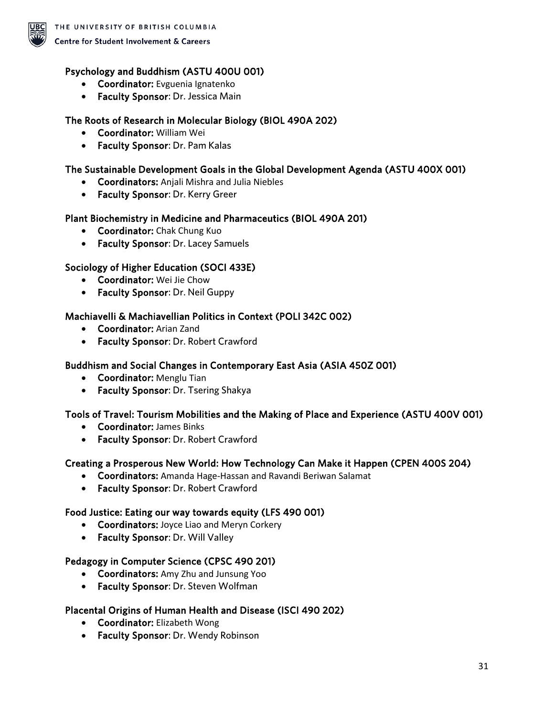

#### Psychology and Buddhism (ASTU 400U 001)

- Coordinator: Evguenia Ignatenko
- Faculty Sponsor: Dr. Jessica Main

#### The Roots of Research in Molecular Biology (BIOL 490A 202)

- Coordinator: William Wei
- Faculty Sponsor: Dr. Pam Kalas

#### The Sustainable Development Goals in the Global Development Agenda (ASTU 400X 001)

- Coordinators: Anjali Mishra and Julia Niebles
- Faculty Sponsor: Dr. Kerry Greer

#### Plant Biochemistry in Medicine and Pharmaceutics (BIOL 490A 201)

- Coordinator: Chak Chung Kuo
- Faculty Sponsor: Dr. Lacey Samuels

#### Sociology of Higher Education (SOCI 433E)

- Coordinator: Wei Jie Chow
- Faculty Sponsor: Dr. Neil Guppy

#### Machiavelli & Machiavellian Politics in Context (POLI 342C 002)

- Coordinator: Arian Zand
- Faculty Sponsor: Dr. Robert Crawford

#### Buddhism and Social Changes in Contemporary East Asia (ASIA 450Z 001)

- Coordinator: Menglu Tian
- Faculty Sponsor: Dr. Tsering Shakya

#### Tools of Travel: Tourism Mobilities and the Making of Place and Experience (ASTU 400V 001)

- Coordinator: James Binks
- Faculty Sponsor: Dr. Robert Crawford

#### Creating a Prosperous New World: How Technology Can Make it Happen (CPEN 400S 204)

- Coordinators: Amanda Hage-Hassan and Ravandi Beriwan Salamat
- Faculty Sponsor: Dr. Robert Crawford

#### Food Justice: Eating our way towards equity (LFS 490 001)

- Coordinators: Joyce Liao and Meryn Corkery
- Faculty Sponsor: Dr. Will Valley

#### Pedagogy in Computer Science (CPSC 490 201)

- Coordinators: Amy Zhu and Junsung Yoo
- Faculty Sponsor: Dr. Steven Wolfman

#### Placental Origins of Human Health and Disease (ISCI 490 202)

- Coordinator: Elizabeth Wong
- Faculty Sponsor: Dr. Wendy Robinson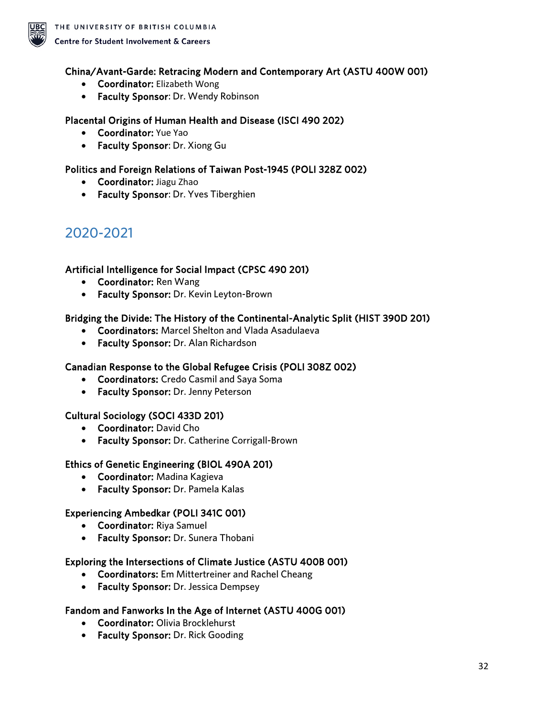

#### China/Avant-Garde: Retracing Modern and Contemporary Art (ASTU 400W 001)

- Coordinator: Elizabeth Wong
- Faculty Sponsor: Dr. Wendy Robinson

#### Placental Origins of Human Health and Disease (ISCI 490 202)

- Coordinator: Yue Yao
- Faculty Sponsor: Dr. Xiong Gu

#### Politics and Foreign Relations of Taiwan Post-1945 (POLI 328Z 002)

- Coordinator: Jiagu Zhao
- Faculty Sponsor: Dr. Yves Tiberghien

### <span id="page-31-0"></span>2020-2021

#### Artificial Intelligence for Social Impact (CPSC 490 201)

- Coordinator: Ren Wang
- Faculty Sponsor: Dr. Kevin Leyton-Brown

#### Bridging the Divide: The History of the Continental-Analytic Split (HIST 390D 201)

- Coordinators: Marcel Shelton and Vlada Asadulaeva
- Faculty Sponsor: Dr. Alan Richardson

#### Canadian Response to the Global Refugee Crisis (POLI 308Z 002)

- Coordinators: Credo Casmil and Saya Soma
- Faculty Sponsor: Dr. Jenny Peterson

#### Cultural Sociology (SOCI 433D 201)

- Coordinator: David Cho
- Faculty Sponsor: Dr. Catherine Corrigall-Brown

#### Ethics of Genetic Engineering (BIOL 490A 201)

- Coordinator: Madina Kagieva
- Faculty Sponsor: Dr. Pamela Kalas

#### Experiencing Ambedkar (POLI 341C 001)

- Coordinator: Riya Samuel
- Faculty Sponsor: Dr. Sunera Thobani

#### Exploring the Intersections of Climate Justice (ASTU 400B 001)

- Coordinators: Em Mittertreiner and Rachel Cheang
- Faculty Sponsor: Dr. Jessica Dempsey

#### Fandom and Fanworks In the Age of Internet (ASTU 400G 001)

- Coordinator: Olivia Brocklehurst
- Faculty Sponsor: Dr. Rick Gooding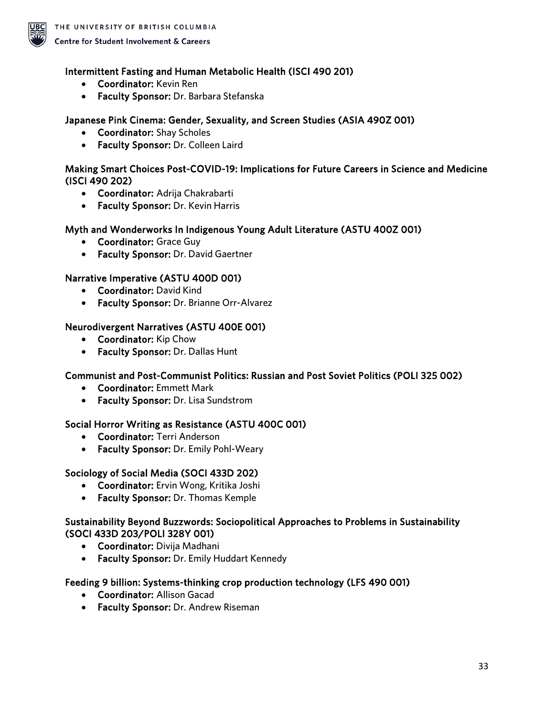

#### Intermittent Fasting and Human Metabolic Health (ISCI 490 201)

- Coordinator: Kevin Ren
- Faculty Sponsor: Dr. Barbara Stefanska

#### Japanese Pink Cinema: Gender, Sexuality, and Screen Studies (ASIA 490Z 001)

- Coordinator: Shay Scholes
- Faculty Sponsor: Dr. Colleen Laird

#### Making Smart Choices Post-COVID-19: Implications for Future Careers in Science and Medicine (ISCI 490 202)

- Coordinator: Adrija Chakrabarti
- Faculty Sponsor: Dr. Kevin Harris

#### Myth and Wonderworks In Indigenous Young Adult Literature (ASTU 400Z 001)

- Coordinator: Grace Guy
- Faculty Sponsor: Dr. David Gaertner

#### Narrative Imperative (ASTU 400D 001)

- Coordinator: David Kind
- Faculty Sponsor: Dr. Brianne Orr-Alvarez

#### Neurodivergent Narratives (ASTU 400E 001)

- Coordinator: Kip Chow
- Faculty Sponsor: Dr. Dallas Hunt

#### Communist and Post-Communist Politics: Russian and Post Soviet Politics (POLI 325 002)

- Coordinator: Emmett Mark
- Faculty Sponsor: Dr. Lisa Sundstrom

#### Social Horror Writing as Resistance (ASTU 400C 001)

- Coordinator: Terri Anderson
- Faculty Sponsor: Dr. Emily Pohl-Weary

#### Sociology of Social Media (SOCI 433D 202)

- Coordinator: Ervin Wong, Kritika Joshi
- Faculty Sponsor: Dr. Thomas Kemple

#### Sustainability Beyond Buzzwords: Sociopolitical Approaches to Problems in Sustainability (SOCI 433D 203/POLI 328Y 001)

- Coordinator: Divija Madhani
- Faculty Sponsor: Dr. Emily Huddart Kennedy

#### Feeding 9 billion: Systems-thinking crop production technology (LFS 490 001)

- Coordinator: Allison Gacad
- Faculty Sponsor: Dr. Andrew Riseman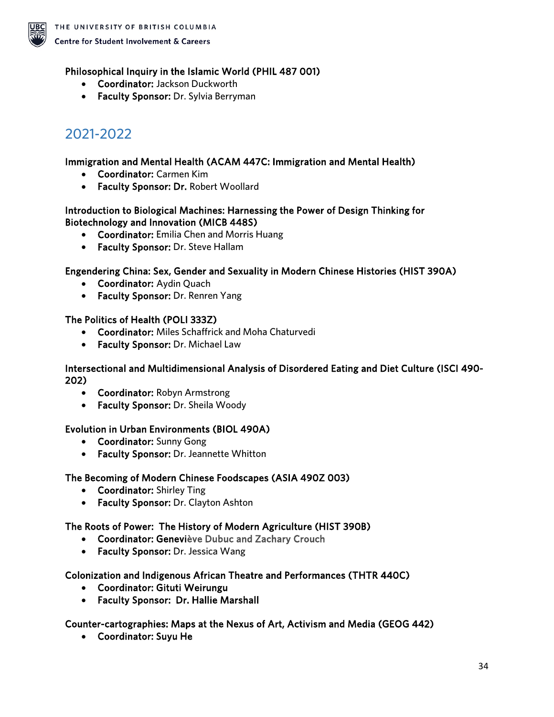

### Philosophical Inquiry in the Islamic World (PHIL 487 001)

- Coordinator: Jackson Duckworth
- Faculty Sponsor: Dr. Sylvia Berryman

# <span id="page-33-0"></span>2021-2022

#### Immigration and Mental Health (ACAM 447C: Immigration and Mental Health)

- Coordinator: Carmen Kim
- Faculty Sponsor: Dr. Robert Woollard

#### Introduction to Biological Machines: Harnessing the Power of Design Thinking for Biotechnology and Innovation (MICB 448S)

- Coordinator: Emilia Chen and Morris Huang
- Faculty Sponsor: Dr. Steve Hallam

### Engendering China: Sex, Gender and Sexuality in Modern Chinese Histories (HIST 390A)

- Coordinator: Aydin Quach
- Faculty Sponsor: Dr. Renren Yang

#### The Politics of Health (POLI 333Z)

- Coordinator: Miles Schaffrick and Moha Chaturvedi
- Faculty Sponsor: Dr. Michael Law

#### Intersectional and Multidimensional Analysis of Disordered Eating and Diet Culture (ISCI 490- 202)

- Coordinator: Robyn Armstrong
- Faculty Sponsor: Dr. Sheila Woody

### Evolution in Urban Environments (BIOL 490A)

- Coordinator: Sunny Gong
- Faculty Sponsor: Dr. Jeannette Whitton

#### The Becoming of Modern Chinese Foodscapes (ASIA 490Z 003)

- Coordinator: Shirley Ting
- Faculty Sponsor: Dr. Clayton Ashton

#### The Roots of Power: The History of Modern Agriculture (HIST 390B)

- Coordinator: Geneviève Dubuc and Zachary Crouch
- Faculty Sponsor: Dr. Jessica Wang

#### Colonization and Indigenous African Theatre and Performances (THTR 440C)

- Coordinator: Gituti Weirungu
- Faculty Sponsor: Dr. Hallie Marshall

#### Counter-cartographies: Maps at the Nexus of Art, Activism and Media (GEOG 442)

• Coordinator: Suyu He